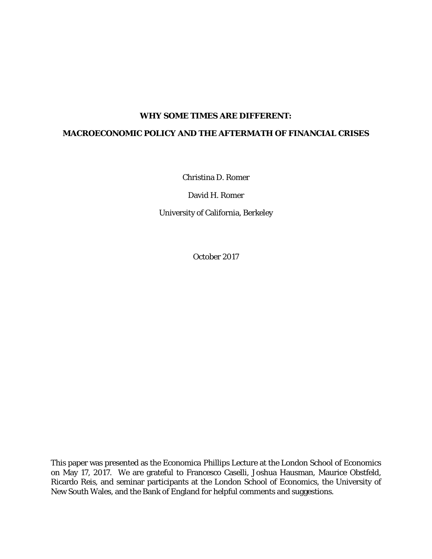# **WHY SOME TIMES ARE DIFFERENT:**

# **MACROECONOMIC POLICY AND THE AFTERMATH OF FINANCIAL CRISES**

Christina D. Romer

David H. Romer

University of California, Berkeley

October 2017

This paper was presented as the *Economica* Phillips Lecture at the London School of Economics on May 17, 2017. We are grateful to Francesco Caselli, Joshua Hausman, Maurice Obstfeld, Ricardo Reis, and seminar participants at the London School of Economics, the University of New South Wales, and the Bank of England for helpful comments and suggestions.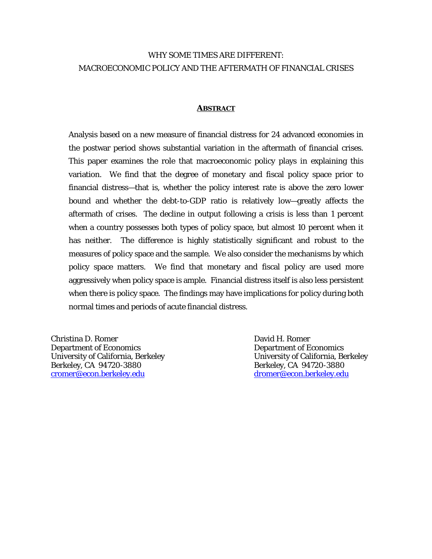# WHY SOME TIMES ARE DIFFERENT: MACROECONOMIC POLICY AND THE AFTERMATH OF FINANCIAL CRISES

# **ABSTRACT**

Analysis based on a new measure of financial distress for 24 advanced economies in the postwar period shows substantial variation in the aftermath of financial crises. This paper examines the role that macroeconomic policy plays in explaining this variation. We find that the degree of monetary and fiscal policy space prior to financial distress—that is, whether the policy interest rate is above the zero lower bound and whether the debt-to-GDP ratio is relatively low—greatly affects the aftermath of crises. The decline in output following a crisis is less than 1 percent when a country possesses both types of policy space, but almost 10 percent when it has neither. The difference is highly statistically significant and robust to the measures of policy space and the sample. We also consider the mechanisms by which policy space matters. We find that monetary and fiscal policy are used more aggressively when policy space is ample. Financial distress itself is also less persistent when there is policy space. The findings may have implications for policy during both normal times and periods of acute financial distress.

Christina D. Romer David H. Romer Department of Economics Department of Economics Berkeley, CA 94720-3880<br>cromer@econ.berkeley.edu

University of California, Berkeley<br>Berkeley, CA 94720-3880 Berkeley, CA 94720-3880 [dromer@econ.berkeley.edu](mailto:dromer@econ.berkeley.edu)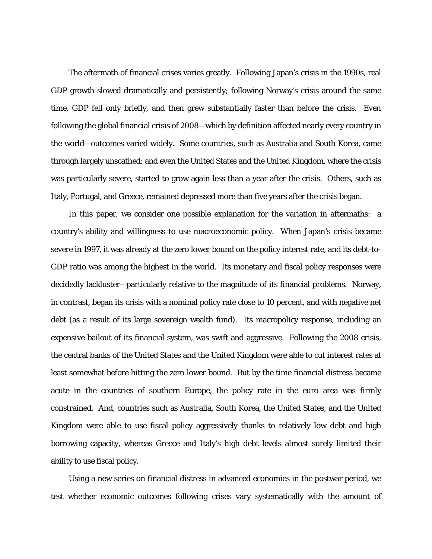The aftermath of financial crises varies greatly. Following Japan's crisis in the 1990s, real GDP growth slowed dramatically and persistently; following Norway's crisis around the same time, GDP fell only briefly, and then grew substantially faster than before the crisis. Even following the global financial crisis of 2008—which by definition affected nearly every country in the world—outcomes varied widely. Some countries, such as Australia and South Korea, came through largely unscathed; and even the United States and the United Kingdom, where the crisis was particularly severe, started to grow again less than a year after the crisis. Others, such as Italy, Portugal, and Greece, remained depressed more than five years after the crisis began.

In this paper, we consider one possible explanation for the variation in aftermaths: a country's ability and willingness to use macroeconomic policy. When Japan's crisis became severe in 1997, it was already at the zero lower bound on the policy interest rate, and its debt-to-GDP ratio was among the highest in the world. Its monetary and fiscal policy responses were decidedly lackluster—particularly relative to the magnitude of its financial problems. Norway, in contrast, began its crisis with a nominal policy rate close to 10 percent, and with negative net debt (as a result of its large sovereign wealth fund). Its macropolicy response, including an expensive bailout of its financial system, was swift and aggressive. Following the 2008 crisis, the central banks of the United States and the United Kingdom were able to cut interest rates at least somewhat before hitting the zero lower bound. But by the time financial distress became acute in the countries of southern Europe, the policy rate in the euro area was firmly constrained. And, countries such as Australia, South Korea, the United States, and the United Kingdom were able to use fiscal policy aggressively thanks to relatively low debt and high borrowing capacity, whereas Greece and Italy's high debt levels almost surely limited their ability to use fiscal policy.

Using a new series on financial distress in advanced economies in the postwar period, we test whether economic outcomes following crises vary systematically with the amount of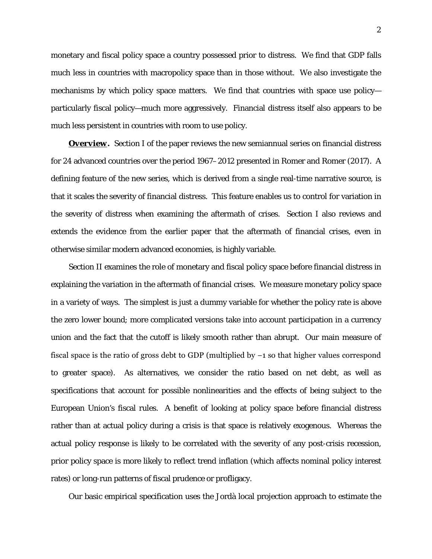monetary and fiscal policy space a country possessed prior to distress. We find that GDP falls much less in countries with macropolicy space than in those without. We also investigate the mechanisms by which policy space matters. We find that countries with space use policy particularly fiscal policy—much more aggressively. Financial distress itself also appears to be much less persistent in countries with room to use policy.

**Overview.** Section I of the paper reviews the new semiannual series on financial distress for 24 advanced countries over the period 1967–2012 presented in Romer and Romer (2017). A defining feature of the new series, which is derived from a single real-time narrative source, is that it scales the severity of financial distress. This feature enables us to control for variation in the severity of distress when examining the aftermath of crises. Section I also reviews and extends the evidence from the earlier paper that the aftermath of financial crises, even in otherwise similar modern advanced economies, is highly variable.

Section II examines the role of monetary and fiscal policy space before financial distress in explaining the variation in the aftermath of financial crises. We measure monetary policy space in a variety of ways. The simplest is just a dummy variable for whether the policy rate is above the zero lower bound; more complicated versions take into account participation in a currency union and the fact that the cutoff is likely smooth rather than abrupt. Our main measure of fiscal space is the ratio of gross debt to GDP (multiplied by −1 so that higher values correspond to greater space). As alternatives, we consider the ratio based on net debt, as well as specifications that account for possible nonlinearities and the effects of being subject to the European Union's fiscal rules. A benefit of looking at policy space before financial distress rather than at actual policy during a crisis is that space is relatively exogenous. Whereas the actual policy response is likely to be correlated with the severity of any post-crisis recession, prior policy space is more likely to reflect trend inflation (which affects nominal policy interest rates) or long-run patterns of fiscal prudence or profligacy.

Our basic empirical specification uses the Jordà local projection approach to estimate the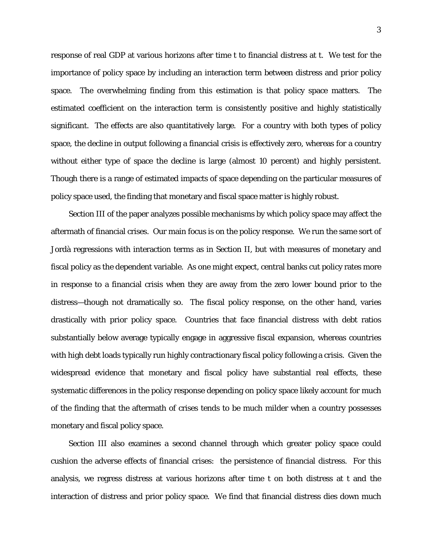response of real GDP at various horizons after time *t* to financial distress at *t*. We test for the importance of policy space by including an interaction term between distress and prior policy space. The overwhelming finding from this estimation is that policy space matters. The estimated coefficient on the interaction term is consistently positive and highly statistically significant. The effects are also quantitatively large. For a country with both types of policy space, the decline in output following a financial crisis is effectively zero, whereas for a country without either type of space the decline is large (almost 10 percent) and highly persistent. Though there is a range of estimated impacts of space depending on the particular measures of policy space used, the finding that monetary and fiscal space matter is highly robust.

Section III of the paper analyzes possible mechanisms by which policy space may affect the aftermath of financial crises. Our main focus is on the policy response. We run the same sort of Jordà regressions with interaction terms as in Section II, but with measures of monetary and fiscal policy as the dependent variable. As one might expect, central banks cut policy rates more in response to a financial crisis when they are away from the zero lower bound prior to the distress—though not dramatically so. The fiscal policy response, on the other hand, varies drastically with prior policy space. Countries that face financial distress with debt ratios substantially below average typically engage in aggressive fiscal expansion, whereas countries with high debt loads typically run highly contractionary fiscal policy following a crisis. Given the widespread evidence that monetary and fiscal policy have substantial real effects, these systematic differences in the policy response depending on policy space likely account for much of the finding that the aftermath of crises tends to be much milder when a country possesses monetary and fiscal policy space.

Section III also examines a second channel through which greater policy space could cushion the adverse effects of financial crises: the persistence of financial distress. For this analysis, we regress distress at various horizons after time *t* on both distress at *t* and the interaction of distress and prior policy space. We find that financial distress dies down much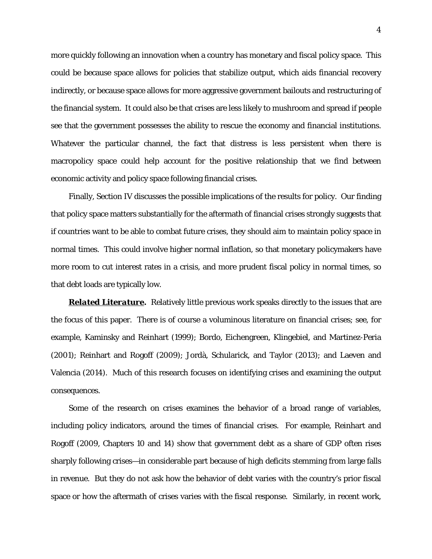more quickly following an innovation when a country has monetary and fiscal policy space. This could be because space allows for policies that stabilize output, which aids financial recovery indirectly, or because space allows for more aggressive government bailouts and restructuring of the financial system. It could also be that crises are less likely to mushroom and spread if people see that the government possesses the ability to rescue the economy and financial institutions. Whatever the particular channel, the fact that distress is less persistent when there is macropolicy space could help account for the positive relationship that we find between economic activity and policy space following financial crises.

Finally, Section IV discusses the possible implications of the results for policy. Our finding that policy space matters substantially for the aftermath of financial crises strongly suggests that if countries want to be able to combat future crises, they should aim to maintain policy space in normal times. This could involve higher normal inflation, so that monetary policymakers have more room to cut interest rates in a crisis, and more prudent fiscal policy in normal times, so that debt loads are typically low.

**Related Literature.** Relatively little previous work speaks directly to the issues that are the focus of this paper. There is of course a voluminous literature on financial crises; see, for example, Kaminsky and Reinhart (1999); Bordo, Eichengreen, Klingebiel, and Martinez-Peria (2001); Reinhart and Rogoff (2009); Jordà, Schularick, and Taylor (2013); and Laeven and Valencia (2014). Much of this research focuses on identifying crises and examining the output consequences.

Some of the research on crises examines the behavior of a broad range of variables, including policy indicators, around the times of financial crises. For example, Reinhart and Rogoff (2009, Chapters 10 and 14) show that government debt as a share of GDP often rises sharply following crises—in considerable part because of high deficits stemming from large falls in revenue. But they do not ask how the behavior of debt varies with the country's prior fiscal space or how the aftermath of crises varies with the fiscal response. Similarly, in recent work,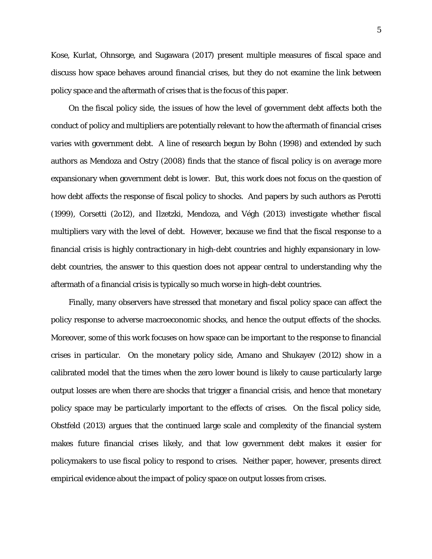Kose, Kurlat, Ohnsorge, and Sugawara (2017) present multiple measures of fiscal space and discuss how space behaves around financial crises, but they do not examine the link between policy space and the aftermath of crises that is the focus of this paper.

On the fiscal policy side, the issues of how the level of government debt affects both the conduct of policy and multipliers are potentially relevant to how the aftermath of financial crises varies with government debt. A line of research begun by Bohn (1998) and extended by such authors as Mendoza and Ostry (2008) finds that the stance of fiscal policy is on average more expansionary when government debt is lower. But, this work does not focus on the question of how debt affects the response of fiscal policy to shocks. And papers by such authors as Perotti (1999), Corsetti (2o12), and Ilzetzki, Mendoza, and Végh (2013) investigate whether fiscal multipliers vary with the level of debt. However, because we find that the fiscal response to a financial crisis is highly contractionary in high-debt countries and highly expansionary in lowdebt countries, the answer to this question does not appear central to understanding why the aftermath of a financial crisis is typically so much worse in high-debt countries.

Finally, many observers have stressed that monetary and fiscal policy space can affect the policy response to adverse macroeconomic shocks, and hence the output effects of the shocks. Moreover, some of this work focuses on how space can be important to the response to financial crises in particular. On the monetary policy side, Amano and Shukayev (2012) show in a calibrated model that the times when the zero lower bound is likely to cause particularly large output losses are when there are shocks that trigger a financial crisis, and hence that monetary policy space may be particularly important to the effects of crises. On the fiscal policy side, Obstfeld (2013) argues that the continued large scale and complexity of the financial system makes future financial crises likely, and that low government debt makes it easier for policymakers to use fiscal policy to respond to crises. Neither paper, however, presents direct empirical evidence about the impact of policy space on output losses from crises.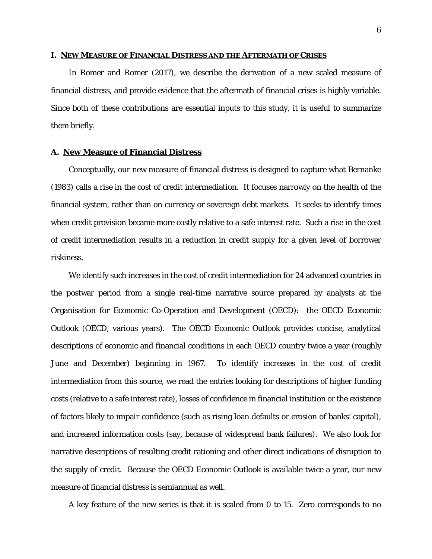#### **I. NEW MEASURE OF FINANCIAL DISTRESS AND THE AFTERMATH OF CRISES**

In Romer and Romer (2017), we describe the derivation of a new scaled measure of financial distress, and provide evidence that the aftermath of financial crises is highly variable. Since both of these contributions are essential inputs to this study, it is useful to summarize them briefly.

#### **A. New Measure of Financial Distress**

Conceptually, our new measure of financial distress is designed to capture what Bernanke (1983) calls a rise in the cost of credit intermediation. It focuses narrowly on the health of the financial system, rather than on currency or sovereign debt markets. It seeks to identify times when credit provision became more costly relative to a safe interest rate. Such a rise in the cost of credit intermediation results in a reduction in credit supply for a given level of borrower riskiness.

We identify such increases in the cost of credit intermediation for 24 advanced countries in the postwar period from a single real-time narrative source prepared by analysts at the Organisation for Economic Co-Operation and Development (OECD): the *OECD Economic Outlook* (OECD, various years). The *OECD Economic Outlook* provides concise, analytical descriptions of economic and financial conditions in each OECD country twice a year (roughly June and December) beginning in 1967. To identify increases in the cost of credit intermediation from this source, we read the entries looking for descriptions of higher funding costs (relative to a safe interest rate), losses of confidence in financial institution or the existence of factors likely to impair confidence (such as rising loan defaults or erosion of banks' capital), and increased information costs (say, because of widespread bank failures). We also look for narrative descriptions of resulting credit rationing and other direct indications of disruption to the supply of credit. Because the *OECD Economic Outlook* is available twice a year, our new measure of financial distress is semiannual as well.

A key feature of the new series is that it is scaled from 0 to 15. Zero corresponds to no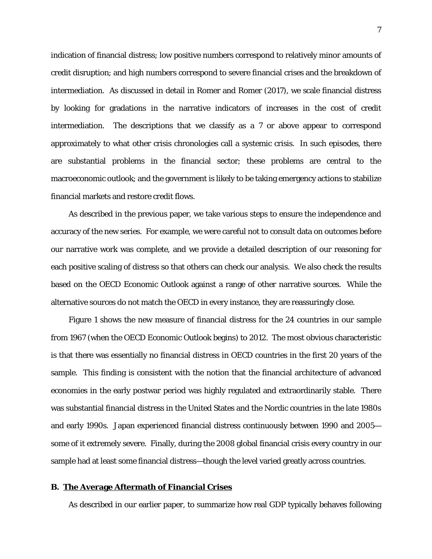indication of financial distress; low positive numbers correspond to relatively minor amounts of credit disruption; and high numbers correspond to severe financial crises and the breakdown of intermediation. As discussed in detail in Romer and Romer (2017), we scale financial distress by looking for gradations in the narrative indicators of increases in the cost of credit intermediation. The descriptions that we classify as a 7 or above appear to correspond approximately to what other crisis chronologies call a systemic crisis. In such episodes, there are substantial problems in the financial sector; these problems are central to the macroeconomic outlook; and the government is likely to be taking emergency actions to stabilize financial markets and restore credit flows.

As described in the previous paper, we take various steps to ensure the independence and accuracy of the new series. For example, we were careful not to consult data on outcomes before our narrative work was complete, and we provide a detailed description of our reasoning for each positive scaling of distress so that others can check our analysis. We also check the results based on the *OECD Economic Outlook* against a range of other narrative sources. While the alternative sources do not match the OECD in every instance, they are reassuringly close.

Figure 1 shows the new measure of financial distress for the 24 countries in our sample from 1967 (when the *OECD Economic Outlook* begins) to 2012. The most obvious characteristic is that there was essentially no financial distress in OECD countries in the first 20 years of the sample. This finding is consistent with the notion that the financial architecture of advanced economies in the early postwar period was highly regulated and extraordinarily stable. There was substantial financial distress in the United States and the Nordic countries in the late 1980s and early 1990s. Japan experienced financial distress continuously between 1990 and 2005 some of it extremely severe. Finally, during the 2008 global financial crisis every country in our sample had at least some financial distress—though the level varied greatly across countries.

## **B. The Average Aftermath of Financial Crises**

As described in our earlier paper, to summarize how real GDP typically behaves following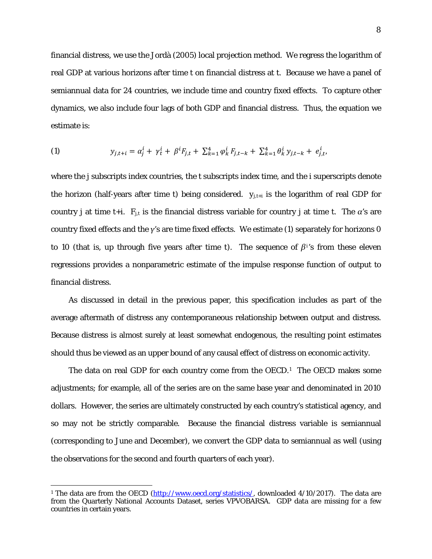financial distress, we use the Jordà (2005) local projection method. We regress the logarithm of real GDP at various horizons after time *t* on financial distress at *t*. Because we have a panel of semiannual data for 24 countries, we include time and country fixed effects. To capture other dynamics, we also include four lags of both GDP and financial distress. Thus, the equation we estimate is:

(1) 
$$
y_{j,t+i} = \alpha_j^i + \gamma_t^i + \beta^i F_{j,t} + \sum_{k=1}^4 \varphi_k^i F_{j,t-k} + \sum_{k=1}^4 \theta_k^i y_{j,t-k} + e_{j,t}^i,
$$

where the *j* subscripts index countries, the *t* subscripts index time, and the *i* superscripts denote the horizon (half-years after time  $t$ ) being considered.  $y_{i,t+i}$  is the logarithm of real GDP for country *j* at time  $t+i$ .  $F_{j,t}$  is the financial distress variable for country *j* at time *t*. The *α*'s are country fixed effects and the *γ*'s are time fixed effects. We estimate (1) separately for horizons 0 to 10 (that is, up through five years after time *t*). The sequence of  $\beta$ <sup>*i*</sup>'s from these eleven regressions provides a nonparametric estimate of the impulse response function of output to financial distress.

As discussed in detail in the previous paper, this specification includes as part of the average aftermath of distress any contemporaneous relationship between output and distress. Because distress is almost surely at least somewhat endogenous, the resulting point estimates should thus be viewed as an upper bound of any causal effect of distress on economic activity.

The data on real GDP for each country come from the  $OECD$ .<sup>1</sup> The OECD makes some adjustments; for example, all of the series are on the same base year and denominated in 2010 dollars. However, the series are ultimately constructed by each country's statistical agency, and so may not be strictly comparable. Because the financial distress variable is semiannual (corresponding to June and December), we convert the GDP data to semiannual as well (using the observations for the second and fourth quarters of each year).

<span id="page-9-0"></span><sup>&</sup>lt;sup>1</sup> The data are from the OECD [\(http://www.oecd.org/statistics/,](http://www.oecd.org/statistics/) downloaded 4/10/2017). The data are from the Quarterly National Accounts Dataset, series VPVOBARSA. GDP data are missing for a few countries in certain years.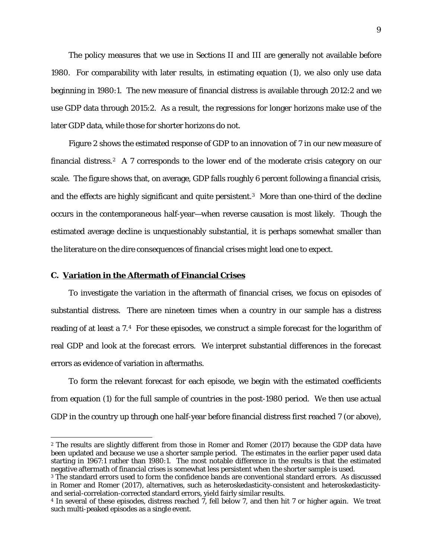The policy measures that we use in Sections II and III are generally not available before 1980. For comparability with later results, in estimating equation (1), we also only use data beginning in 1980:1. The new measure of financial distress is available through 2012:2 and we use GDP data through 2015:2. As a result, the regressions for longer horizons make use of the later GDP data, while those for shorter horizons do not.

Figure 2 shows the estimated response of GDP to an innovation of 7 in our new measure of financial distress.[2](#page-10-0) A 7 corresponds to the lower end of the moderate crisis category on our scale. The figure shows that, on average, GDP falls roughly 6 percent following a financial crisis, and the effects are highly significant and quite persistent.[3](#page-10-1) More than one-third of the decline occurs in the contemporaneous half-year—when reverse causation is most likely. Though the estimated average decline is unquestionably substantial, it is perhaps somewhat smaller than the literature on the dire consequences of financial crises might lead one to expect.

# **C. Variation in the Aftermath of Financial Crises**

l

To investigate the variation in the aftermath of financial crises, we focus on episodes of substantial distress. There are nineteen times when a country in our sample has a distress reading of at least a 7.[4](#page-10-2) For these episodes, we construct a simple forecast for the logarithm of real GDP and look at the forecast errors. We interpret substantial differences in the forecast errors as evidence of variation in aftermaths.

To form the relevant forecast for each episode, we begin with the estimated coefficients from equation (1) for the full sample of countries in the post-1980 period. We then use actual GDP in the country up through one half-year before financial distress first reached 7 (or above),

<span id="page-10-0"></span><sup>2</sup> The results are slightly different from those in Romer and Romer (2017) because the GDP data have been updated and because we use a shorter sample period. The estimates in the earlier paper used data starting in 1967:1 rather than 1980:1. The most notable difference in the results is that the estimated negative aftermath of financial crises is somewhat less persistent when the shorter sample is used.

<span id="page-10-1"></span><sup>3</sup> The standard errors used to form the confidence bands are conventional standard errors. As discussed in Romer and Romer (2017), alternatives, such as heteroskedasticity-consistent and heteroskedasticityand serial-correlation-corrected standard errors, yield fairly similar results.

<span id="page-10-2"></span><sup>4</sup> In several of these episodes, distress reached 7, fell below 7, and then hit 7 or higher again. We treat such multi-peaked episodes as a single event.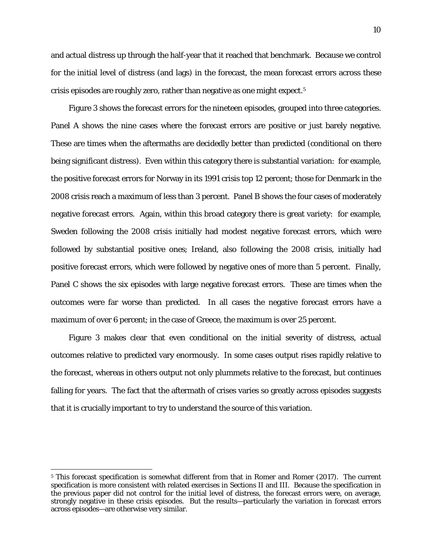and actual distress up through the half-year that it reached that benchmark. Because we control for the initial level of distress (and lags) in the forecast, the mean forecast errors across these crisis episodes are roughly zero, rather than negative as one might expect[.5](#page-11-0)

Figure 3 shows the forecast errors for the nineteen episodes, grouped into three categories. Panel A shows the nine cases where the forecast errors are positive or just barely negative. These are times when the aftermaths are decidedly better than predicted (conditional on there being significant distress). Even within this category there is substantial variation: for example, the positive forecast errors for Norway in its 1991 crisis top 12 percent; those for Denmark in the 2008 crisis reach a maximum of less than 3 percent. Panel B shows the four cases of moderately negative forecast errors. Again, within this broad category there is great variety: for example, Sweden following the 2008 crisis initially had modest negative forecast errors, which were followed by substantial positive ones; Ireland, also following the 2008 crisis, initially had positive forecast errors, which were followed by negative ones of more than 5 percent. Finally, Panel C shows the six episodes with large negative forecast errors. These are times when the outcomes were far worse than predicted. In all cases the negative forecast errors have a maximum of over 6 percent; in the case of Greece, the maximum is over 25 percent.

Figure 3 makes clear that even conditional on the initial severity of distress, actual outcomes relative to predicted vary enormously. In some cases output rises rapidly relative to the forecast, whereas in others output not only plummets relative to the forecast, but continues falling for years. The fact that the aftermath of crises varies so greatly across episodes suggests that it is crucially important to try to understand the source of this variation.

 $\overline{\phantom{a}}$ 

<span id="page-11-0"></span><sup>5</sup> This forecast specification is somewhat different from that in Romer and Romer (2017). The current specification is more consistent with related exercises in Sections II and III. Because the specification in the previous paper did not control for the initial level of distress, the forecast errors were, on average, strongly negative in these crisis episodes. But the results—particularly the variation in forecast errors across episodes—are otherwise very similar.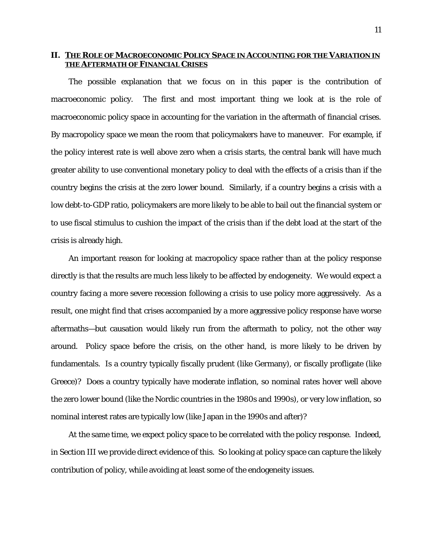# **II. THE ROLE OF MACROECONOMIC POLICY SPACE IN ACCOUNTING FOR THE VARIATION IN THE AFTERMATH OF FINANCIAL CRISES**

The possible explanation that we focus on in this paper is the contribution of macroeconomic policy. The first and most important thing we look at is the role of macroeconomic policy space in accounting for the variation in the aftermath of financial crises. By macropolicy space we mean the room that policymakers have to maneuver. For example, if the policy interest rate is well above zero when a crisis starts, the central bank will have much greater ability to use conventional monetary policy to deal with the effects of a crisis than if the country begins the crisis at the zero lower bound. Similarly, if a country begins a crisis with a low debt-to-GDP ratio, policymakers are more likely to be able to bail out the financial system or to use fiscal stimulus to cushion the impact of the crisis than if the debt load at the start of the crisis is already high.

An important reason for looking at macropolicy space rather than at the policy response directly is that the results are much less likely to be affected by endogeneity. We would expect a country facing a more severe recession following a crisis to use policy more aggressively. As a result, one might find that crises accompanied by a more aggressive policy response have worse aftermaths—but causation would likely run from the aftermath to policy, not the other way around. Policy space before the crisis, on the other hand, is more likely to be driven by fundamentals. Is a country typically fiscally prudent (like Germany), or fiscally profligate (like Greece)? Does a country typically have moderate inflation, so nominal rates hover well above the zero lower bound (like the Nordic countries in the 1980s and 1990s), or very low inflation, so nominal interest rates are typically low (like Japan in the 1990s and after)?

At the same time, we expect policy space to be correlated with the policy response. Indeed, in Section III we provide direct evidence of this. So looking at policy space can capture the likely contribution of policy, while avoiding at least some of the endogeneity issues.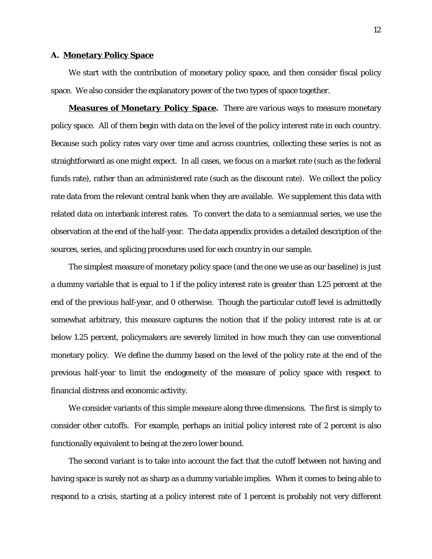## **A. Monetary Policy Space**

We start with the contribution of monetary policy space, and then consider fiscal policy space. We also consider the explanatory power of the two types of space together.

**Measures of Monetary Policy Space.** There are various ways to measure monetary policy space. All of them begin with data on the level of the policy interest rate in each country. Because such policy rates vary over time and across countries, collecting these series is not as straightforward as one might expect. In all cases, we focus on a market rate (such as the federal funds rate), rather than an administered rate (such as the discount rate). We collect the policy rate data from the relevant central bank when they are available. We supplement this data with related data on interbank interest rates. To convert the data to a semiannual series, we use the observation at the end of the half-year. The data appendix provides a detailed description of the sources, series, and splicing procedures used for each country in our sample.

The simplest measure of monetary policy space (and the one we use as our baseline) is just a dummy variable that is equal to 1 if the policy interest rate is greater than 1.25 percent at the end of the *previous* half-year, and 0 otherwise. Though the particular cutoff level is admittedly somewhat arbitrary, this measure captures the notion that if the policy interest rate is at or below 1.25 percent, policymakers are severely limited in how much they can use conventional monetary policy. We define the dummy based on the level of the policy rate at the end of the previous half-year to limit the endogeneity of the measure of policy space with respect to financial distress and economic activity.

We consider variants of this simple measure along three dimensions. The first is simply to consider other cutoffs. For example, perhaps an initial policy interest rate of 2 percent is also functionally equivalent to being at the zero lower bound.

The second variant is to take into account the fact that the cutoff between not having and having space is surely not as sharp as a dummy variable implies. When it comes to being able to respond to a crisis, starting at a policy interest rate of 1 percent is probably not very different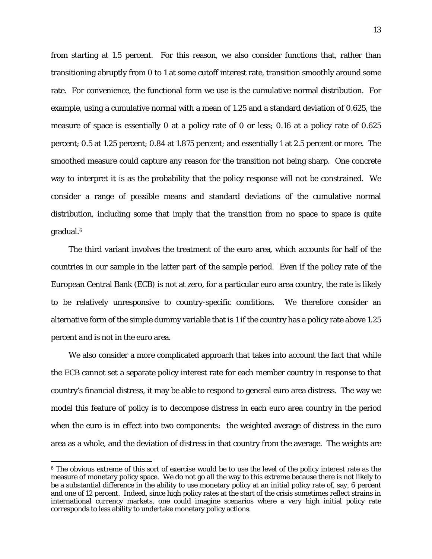from starting at 1.5 percent. For this reason, we also consider functions that, rather than transitioning abruptly from 0 to 1 at some cutoff interest rate, transition smoothly around some rate. For convenience, the functional form we use is the cumulative normal distribution. For example, using a cumulative normal with a mean of 1.25 and a standard deviation of 0.625, the measure of space is essentially 0 at a policy rate of 0 or less; 0.16 at a policy rate of 0.625 percent; 0.5 at 1.25 percent; 0.84 at 1.875 percent; and essentially 1 at 2.5 percent or more. The smoothed measure could capture any reason for the transition not being sharp. One concrete way to interpret it is as the probability that the policy response will not be constrained. We consider a range of possible means and standard deviations of the cumulative normal distribution, including some that imply that the transition from no space to space is quite gradual[.6](#page-14-0)

The third variant involves the treatment of the euro area, which accounts for half of the countries in our sample in the latter part of the sample period. Even if the policy rate of the European Central Bank (ECB) is not at zero, for a particular euro area country, the rate is likely to be relatively unresponsive to country-specific conditions. We therefore consider an alternative form of the simple dummy variable that is 1 if the country has a policy rate above 1.25 percent *and* is not in the euro area.

We also consider a more complicated approach that takes into account the fact that while the ECB cannot set a separate policy interest rate for each member country in response to that country's financial distress, it may be able to respond to general euro area distress. The way we model this feature of policy is to decompose distress in each euro area country in the period when the euro is in effect into two components: the weighted average of distress in the euro area as a whole, and the deviation of distress in that country from the average. The weights are

<span id="page-14-0"></span><sup>6</sup> The obvious extreme of this sort of exercise would be to use the level of the policy interest rate as the measure of monetary policy space. We do not go all the way to this extreme because there is not likely to be a substantial difference in the ability to use monetary policy at an initial policy rate of, say, 6 percent and one of 12 percent. Indeed, since high policy rates at the start of the crisis sometimes reflect strains in international currency markets, one could imagine scenarios where a very high initial policy rate corresponds to less ability to undertake monetary policy actions.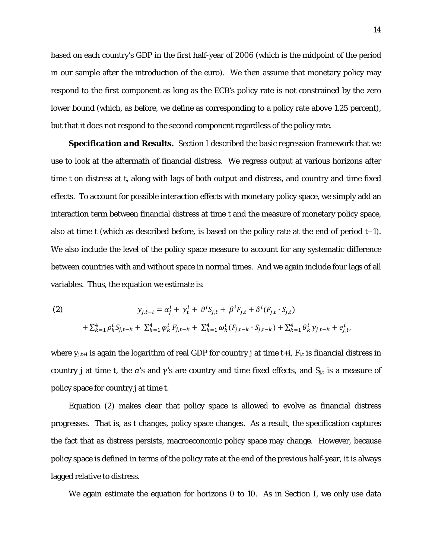based on each country's GDP in the first half-year of 2006 (which is the midpoint of the period in our sample after the introduction of the euro). We then assume that monetary policy may respond to the first component as long as the ECB's policy rate is not constrained by the zero lower bound (which, as before, we define as corresponding to a policy rate above 1.25 percent), but that it does not respond to the second component regardless of the policy rate.

*Specification and Results***.** Section I described the basic regression framework that we use to look at the aftermath of financial distress. We regress output at various horizons after time *t* on distress at *t*, along with lags of both output and distress, and country and time fixed effects. To account for possible interaction effects with monetary policy space, we simply add an interaction term between financial distress at time *t* and the measure of monetary policy space, also at time *t* (which as described before, is based on the policy rate at the end of period *t*−1). We also include the level of the policy space measure to account for any systematic difference between countries with and without space in normal times. And we again include four lags of all variables. Thus, the equation we estimate is:

(2)  
\n
$$
y_{j,t+i} = \alpha_j^i + \gamma_t^i + \vartheta^i S_{j,t} + \beta^i F_{j,t} + \delta^i (F_{j,t} \cdot S_{j,t})
$$
\n
$$
+ \sum_{k=1}^4 \rho_k^i S_{j,t-k} + \sum_{k=1}^4 \varphi_k^i F_{j,t-k} + \sum_{k=1}^4 \omega_k^i (F_{j,t-k} \cdot S_{j,t-k}) + \sum_{k=1}^4 \theta_k^i y_{j,t-k} + e_{j,t}^i
$$

where *yj,t+i* is again the logarithm of real GDP for country *j* at time *t+i*, *Fj,t* is financial distress in country *j* at time *t*, the *α*'s and *γ*'s are country and time fixed effects, and  $S_{j,t}$  is a measure of policy space for country *j* at time *t*.

Equation (2) makes clear that policy space is allowed to evolve as financial distress progresses. That is, as *t* changes, policy space changes. As a result, the specification captures the fact that as distress persists, macroeconomic policy space may change. However, because policy space is defined in terms of the policy rate at the end of the previous half-year, it is always lagged relative to distress.

We again estimate the equation for horizons 0 to 10. As in Section I, we only use data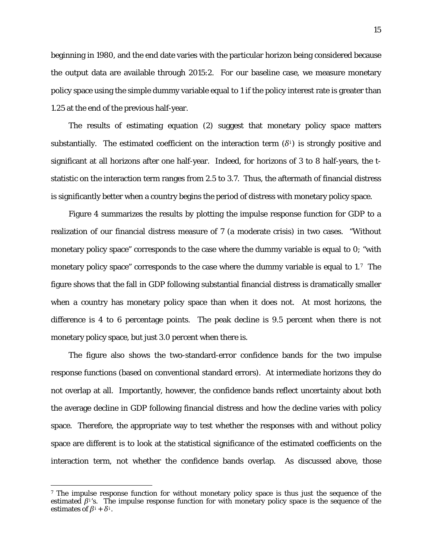beginning in 1980, and the end date varies with the particular horizon being considered because the output data are available through 2015:2. For our baseline case, we measure monetary policy space using the simple dummy variable equal to 1 if the policy interest rate is greater than 1.25 at the end of the previous half-year.

The results of estimating equation (2) suggest that monetary policy space matters substantially. The estimated coefficient on the interaction term  $(\delta^i)$  is strongly positive and significant at all horizons after one half-year. Indeed, for horizons of 3 to 8 half-years, the *t*statistic on the interaction term ranges from 2.5 to 3.7. Thus, the aftermath of financial distress is significantly better when a country begins the period of distress with monetary policy space.

Figure 4 summarizes the results by plotting the impulse response function for GDP to a realization of our financial distress measure of 7 (a moderate crisis) in two cases. "Without monetary policy space" corresponds to the case where the dummy variable is equal to 0; "with monetary policy space" corresponds to the case where the dummy variable is equal to 1[.7](#page-16-0) The figure shows that the fall in GDP following substantial financial distress is dramatically smaller when a country has monetary policy space than when it does not. At most horizons, the difference is 4 to 6 percentage points. The peak decline is 9.5 percent when there is not monetary policy space, but just 3.0 percent when there is.

The figure also shows the two-standard-error confidence bands for the two impulse response functions (based on conventional standard errors). At intermediate horizons they do not overlap at all. Importantly, however, the confidence bands reflect uncertainty about both the average decline in GDP following financial distress and how the decline varies with policy space. Therefore, the appropriate way to test whether the responses with and without policy space are different is to look at the statistical significance of the estimated coefficients on the interaction term, not whether the confidence bands overlap. As discussed above, those

<span id="page-16-0"></span><sup>7</sup> The impulse response function for without monetary policy space is thus just the sequence of the estimated  $\beta$ <sup>*i*</sup>'s. The impulse response function for with monetary policy space is the sequence of the estimates of  $\beta^i + \delta^i$ .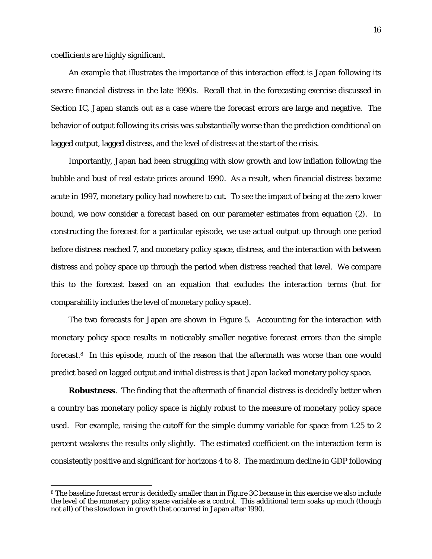coefficients are highly significant.

l

An example that illustrates the importance of this interaction effect is Japan following its severe financial distress in the late 1990s. Recall that in the forecasting exercise discussed in Section IC, Japan stands out as a case where the forecast errors are large and negative. The behavior of output following its crisis was substantially worse than the prediction conditional on lagged output, lagged distress, and the level of distress at the start of the crisis.

Importantly, Japan had been struggling with slow growth and low inflation following the bubble and bust of real estate prices around 1990. As a result, when financial distress became acute in 1997, monetary policy had nowhere to cut. To see the impact of being at the zero lower bound, we now consider a forecast based on our parameter estimates from equation (2). In constructing the forecast for a particular episode, we use actual output up through one period before distress reached 7, and monetary policy space, distress, and the interaction with between distress and policy space up through the period when distress reached that level. We compare this to the forecast based on an equation that excludes the interaction terms (but for comparability includes the level of monetary policy space).

The two forecasts for Japan are shown in Figure 5. Accounting for the interaction with monetary policy space results in noticeably smaller negative forecast errors than the simple forecast.[8](#page-17-0) In this episode, much of the reason that the aftermath was worse than one would predict based on lagged output and initial distress is that Japan lacked monetary policy space.

*Robustness*. The finding that the aftermath of financial distress is decidedly better when a country has monetary policy space is highly robust to the measure of monetary policy space used. For example, raising the cutoff for the simple dummy variable for space from 1.25 to 2 percent weakens the results only slightly. The estimated coefficient on the interaction term is consistently positive and significant for horizons 4 to 8. The maximum decline in GDP following

<span id="page-17-0"></span><sup>8</sup> The baseline forecast error is decidedly smaller than in Figure 3C because in this exercise we also include the level of the monetary policy space variable as a control. This additional term soaks up much (though not all) of the slowdown in growth that occurred in Japan after 1990.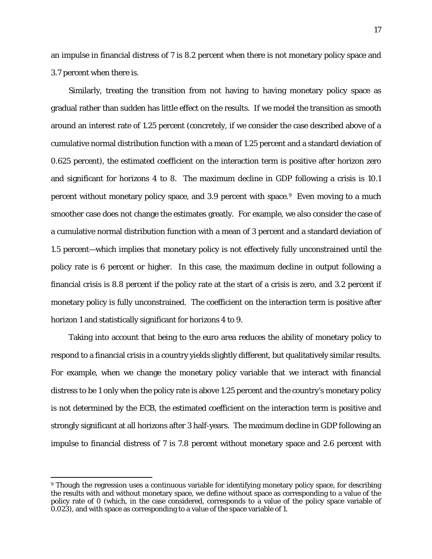an impulse in financial distress of 7 is 8.2 percent when there is not monetary policy space and 3.7 percent when there is.

Similarly, treating the transition from not having to having monetary policy space as gradual rather than sudden has little effect on the results. If we model the transition as smooth around an interest rate of 1.25 percent (concretely, if we consider the case described above of a cumulative normal distribution function with a mean of 1.25 percent and a standard deviation of 0.625 percent), the estimated coefficient on the interaction term is positive after horizon zero and significant for horizons 4 to 8. The maximum decline in GDP following a crisis is 10.1 percent without monetary policy space, and 3.9 percent with space.[9](#page-18-0) Even moving to a much smoother case does not change the estimates greatly. For example, we also consider the case of a cumulative normal distribution function with a mean of 3 percent and a standard deviation of 1.5 percent—which implies that monetary policy is not effectively fully unconstrained until the policy rate is 6 percent or higher. In this case, the maximum decline in output following a financial crisis is 8.8 percent if the policy rate at the start of a crisis is zero, and 3.2 percent if monetary policy is fully unconstrained. The coefficient on the interaction term is positive after horizon 1 and statistically significant for horizons 4 to 9.

Taking into account that being to the euro area reduces the ability of monetary policy to respond to a financial crisis in a country yields slightly different, but qualitatively similar results. For example, when we change the monetary policy variable that we interact with financial distress to be 1 only when the policy rate is above 1.25 percent and the country's monetary policy is not determined by the ECB, the estimated coefficient on the interaction term is positive and strongly significant at all horizons after 3 half-years. The maximum decline in GDP following an impulse to financial distress of 7 is 7.8 percent without monetary space and 2.6 percent with

 $\overline{a}$ 

<span id="page-18-0"></span><sup>&</sup>lt;sup>9</sup> Though the regression uses a continuous variable for identifying monetary policy space, for describing the results with and without monetary space, we define without space as corresponding to a value of the policy rate of 0 (which, in the case considered, corresponds to a value of the policy space variable of 0.023), and with space as corresponding to a value of the space variable of 1.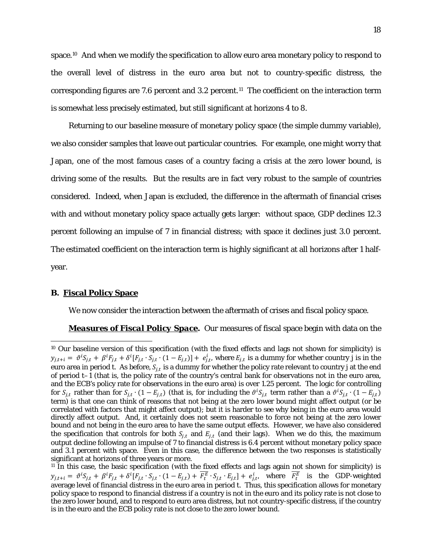space.<sup>10</sup> And when we modify the specification to allow euro area monetary policy to respond to the overall level of distress in the euro area but not to country-specific distress, the corresponding figures are 7.6 percent and 3.2 percent.<sup>[11](#page-19-1)</sup> The coefficient on the interaction term is somewhat less precisely estimated, but still significant at horizons 4 to 8.

Returning to our baseline measure of monetary policy space (the simple dummy variable), we also consider samples that leave out particular countries. For example, one might worry that Japan, one of the most famous cases of a country facing a crisis at the zero lower bound, is driving some of the results. But the results are in fact very robust to the sample of countries considered. Indeed, when Japan is excluded, the difference in the aftermath of financial crises with and without monetary policy space actually gets larger: without space, GDP declines 12.3 percent following an impulse of 7 in financial distress; with space it declines just 3.0 percent. The estimated coefficient on the interaction term is highly significant at all horizons after 1 halfyear.

### **B. Fiscal Policy Space**

 $\overline{a}$ 

We now consider the interaction between the aftermath of crises and fiscal policy space.

*Measures of Fiscal Policy Space***.** Our measures of fiscal space begin with data on the

<span id="page-19-0"></span><sup>&</sup>lt;sup>10</sup> Our baseline version of this specification (with the fixed effects and lags not shown for simplicity) is  $y_{j,t+i} = \vartheta^i S_{j,t} + \beta^i F_{j,t} + \delta^i [F_{j,t} \cdot S_{j,t} \cdot (1 - E_{j,t})] + e_{j,t}^i$ , where  $E_{j,t}$  is a dummy for whether country *j* is in the euro area in period *t*. As before,  $S_{i,t}$  is a dummy for whether the policy rate relevant to country *j* at the end of period *t*–1 (that is, the policy rate of the country's central bank for observations not in the euro area, and the ECB's policy rate for observations in the euro area) is over 1.25 percent. The logic for controlling for  $S_{j,t}$  rather than for  $S_{j,t} \cdot (1-E_{j,t})$  (that is, for including the  $\vartheta^t S_{j,t}$  term rather than a  $\vartheta^t S_{j,t} \cdot (1-E_{j,t})$ term) is that one can think of reasons that not being at the zero lower bound might affect output (or be correlated with factors that might affect output); but it is harder to see why being in the euro area would directly affect output. And, it certainly does not seem reasonable to force not being at the zero lower bound and not being in the euro area to have the same output effects. However, we have also considered the specification that controls for both  $S_{j,t}$  and  $E_{j,t}$  (and their lags). When we do this, the maximum output decline following an impulse of 7 to financial distress is 6.4 percent without monetary policy space and 3.1 percent with space. Even in this case, the difference between the two responses is statistically significant at horizons of three years or more.

<span id="page-19-1"></span> $11$  In this case, the basic specification (with the fixed effects and lags again not shown for simplicity) is  $y_{j,t+i} = \vartheta^i S_{j,t} + \beta^i F_{j,t} + \delta^i [F_{j,t} \cdot S_{j,t} \cdot (1 - E_{j,t}) + \overline{F_t^E} \cdot S_{j,t} \cdot E_{j,t}] + e_{j,t}^i$ , where  $\overline{F_t^E}$  is the GDP-weighted average level of financial distress in the euro area in period *t*. Thus, this specification allows for monetary policy space to respond to financial distress if a country is not in the euro and its policy rate is not close to the zero lower bound, and to respond to euro area distress, but not country-specific distress, if the country is in the euro and the ECB policy rate is not close to the zero lower bound.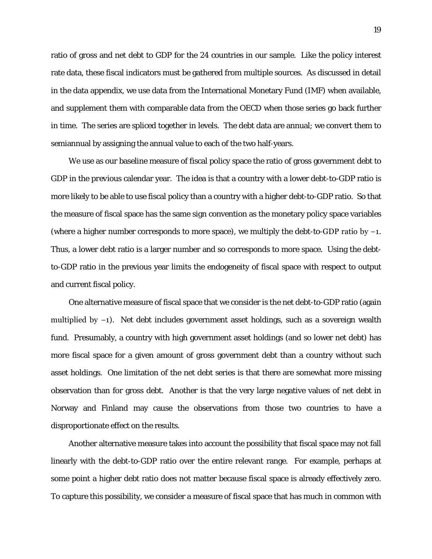ratio of gross and net debt to GDP for the 24 countries in our sample. Like the policy interest rate data, these fiscal indicators must be gathered from multiple sources. As discussed in detail in the data appendix, we use data from the International Monetary Fund (IMF) when available, and supplement them with comparable data from the OECD when those series go back further in time. The series are spliced together in levels. The debt data are annual; we convert them to semiannual by assigning the annual value to each of the two half-years.

We use as our baseline measure of fiscal policy space the ratio of gross government debt to GDP in the *previous* calendar year. The idea is that a country with a lower debt-to-GDP ratio is more likely to be able to use fiscal policy than a country with a higher debt-to-GDP ratio. So that the measure of fiscal space has the same sign convention as the monetary policy space variables (where a higher number corresponds to more space), we multiply the debt-to-GDP ratio by −1. Thus, a lower debt ratio is a larger number and so corresponds to more space. Using the debtto-GDP ratio in the previous year limits the endogeneity of fiscal space with respect to output and current fiscal policy.

One alternative measure of fiscal space that we consider is the net debt-to-GDP ratio (again multiplied by −1). Net debt includes government asset holdings, such as a sovereign wealth fund. Presumably, a country with high government asset holdings (and so lower net debt) has more fiscal space for a given amount of gross government debt than a country without such asset holdings. One limitation of the net debt series is that there are somewhat more missing observation than for gross debt. Another is that the very large negative values of net debt in Norway and Finland may cause the observations from those two countries to have a disproportionate effect on the results.

Another alternative measure takes into account the possibility that fiscal space may not fall linearly with the debt-to-GDP ratio over the entire relevant range. For example, perhaps at some point a higher debt ratio does not matter because fiscal space is already effectively zero. To capture this possibility, we consider a measure of fiscal space that has much in common with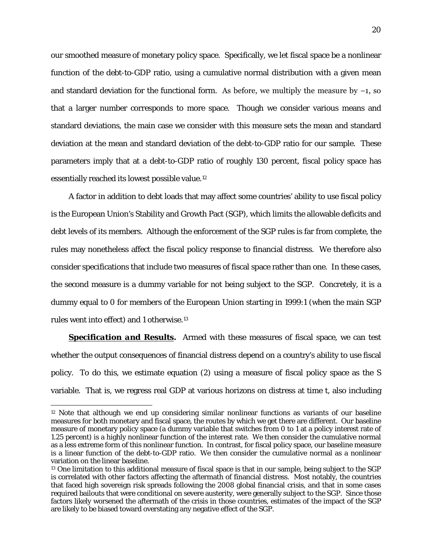our smoothed measure of monetary policy space. Specifically, we let fiscal space be a nonlinear function of the debt-to-GDP ratio, using a cumulative normal distribution with a given mean and standard deviation for the functional form. As before, we multiply the measure by −1, so that a larger number corresponds to more space. Though we consider various means and standard deviations, the main case we consider with this measure sets the mean and standard deviation at the mean and standard deviation of the debt-to-GDP ratio for our sample. These parameters imply that at a debt-to-GDP ratio of roughly 130 percent, fiscal policy space has essentially reached its lowest possible value.[12](#page-21-0)

A factor in addition to debt loads that may affect some countries' ability to use fiscal policy is the European Union's Stability and Growth Pact (SGP), which limits the allowable deficits and debt levels of its members. Although the enforcement of the SGP rules is far from complete, the rules may nonetheless affect the fiscal policy response to financial distress. We therefore also consider specifications that include two measures of fiscal space rather than one. In these cases, the second measure is a dummy variable for not being subject to the SGP. Concretely, it is a dummy equal to 0 for members of the European Union starting in 1999:1 (when the main SGP rules went into effect) and 1 otherwise.[13](#page-21-1)

*Specification and Results***.** Armed with these measures of fiscal space, we can test whether the output consequences of financial distress depend on a country's ability to use fiscal policy. To do this, we estimate equation (2) using a measure of fiscal policy space as the *S* variable. That is, we regress real GDP at various horizons on distress at time *t*, also including

<span id="page-21-0"></span><sup>12</sup> Note that although we end up considering similar nonlinear functions as variants of our baseline measures for both monetary and fiscal space, the routes by which we get there are different. Our baseline measure of monetary policy space (a dummy variable that switches from 0 to 1 at a policy interest rate of 1.25 percent) is a highly nonlinear function of the interest rate. We then consider the cumulative normal as a less extreme form of this nonlinear function. In contrast, for fiscal policy space, our baseline measure is a linear function of the debt-to-GDP ratio. We then consider the cumulative normal as a nonlinear variation on the linear baseline.

<span id="page-21-1"></span><sup>13</sup> One limitation to this additional measure of fiscal space is that in our sample, being subject to the SGP is correlated with other factors affecting the aftermath of financial distress. Most notably, the countries that faced high sovereign risk spreads following the 2008 global financial crisis, and that in some cases required bailouts that were conditional on severe austerity, were generally subject to the SGP. Since those factors likely worsened the aftermath of the crisis in those countries, estimates of the impact of the SGP are likely to be biased toward overstating any negative effect of the SGP.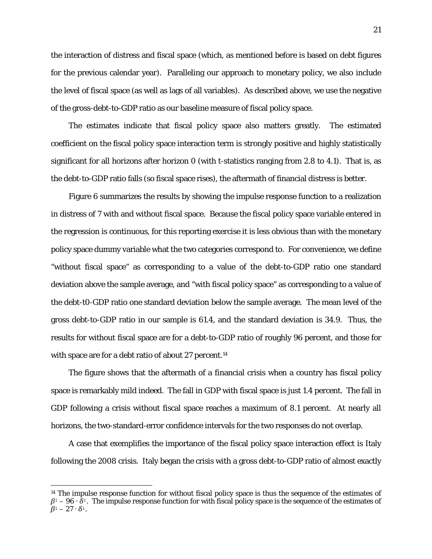the interaction of distress and fiscal space (which, as mentioned before is based on debt figures for the previous calendar year). Paralleling our approach to monetary policy, we also include the level of fiscal space (as well as lags of all variables). As described above, we use the negative of the gross-debt-to-GDP ratio as our baseline measure of fiscal policy space.

The estimates indicate that fiscal policy space also matters greatly. The estimated coefficient on the fiscal policy space interaction term is strongly positive and highly statistically significant for all horizons after horizon 0 (with *t*-statistics ranging from 2.8 to 4.1). That is, as the debt-to-GDP ratio falls (so fiscal space rises), the aftermath of financial distress is better.

Figure 6 summarizes the results by showing the impulse response function to a realization in distress of 7 with and without fiscal space. Because the fiscal policy space variable entered in the regression is continuous, for this reporting exercise it is less obvious than with the monetary policy space dummy variable what the two categories correspond to. For convenience, we define "without fiscal space" as corresponding to a value of the debt-to-GDP ratio one standard deviation above the sample average, and "with fiscal policy space" as corresponding to a value of the debt-t0-GDP ratio one standard deviation below the sample average. The mean level of the gross debt-to-GDP ratio in our sample is 61.4, and the standard deviation is 34.9. Thus, the results for without fiscal space are for a debt-to-GDP ratio of roughly 96 percent, and those for with space are for a debt ratio of about 27 percent.<sup>[14](#page-22-0)</sup>

The figure shows that the aftermath of a financial crisis when a country has fiscal policy space is remarkably mild indeed. The fall in GDP with fiscal space is just 1.4 percent. The fall in GDP following a crisis without fiscal space reaches a maximum of 8.1 percent. At nearly all horizons, the two-standard-error confidence intervals for the two responses do not overlap.

A case that exemplifies the importance of the fiscal policy space interaction effect is Italy following the 2008 crisis. Italy began the crisis with a gross debt-to-GDP ratio of almost exactly

<span id="page-22-0"></span><sup>&</sup>lt;sup>14</sup> The impulse response function for without fiscal policy space is thus the sequence of the estimates of  $\beta^i$  – 96 ·  $\delta^i$ . The impulse response function for with fiscal policy space is the sequence of the estimates of  $\beta^i - 27 \cdot \delta^i$ .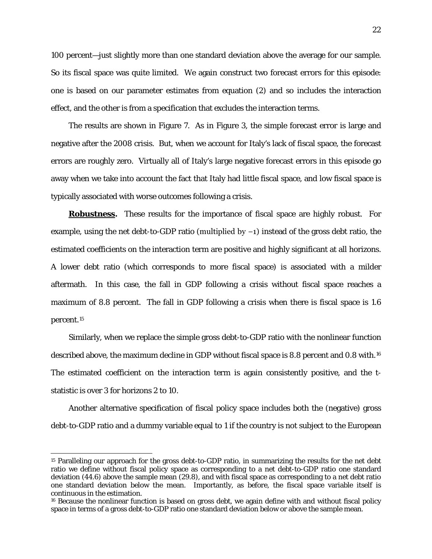100 percent—just slightly more than one standard deviation above the average for our sample. So its fiscal space was quite limited. We again construct two forecast errors for this episode: one is based on our parameter estimates from equation (2) and so includes the interaction effect, and the other is from a specification that excludes the interaction terms.

The results are shown in Figure 7. As in Figure 3, the simple forecast error is large and negative after the 2008 crisis. But, when we account for Italy's lack of fiscal space, the forecast errors are roughly zero. Virtually all of Italy's large negative forecast errors in this episode go away when we take into account the fact that Italy had little fiscal space, and low fiscal space is typically associated with worse outcomes following a crisis.

*Robustness***.** These results for the importance of fiscal space are highly robust. For example, using the net debt-to-GDP ratio (multiplied by −1) instead of the gross debt ratio, the estimated coefficients on the interaction term are positive and highly significant at all horizons. A lower debt ratio (which corresponds to more fiscal space) is associated with a milder aftermath. In this case, the fall in GDP following a crisis without fiscal space reaches a maximum of 8.8 percent. The fall in GDP following a crisis when there is fiscal space is 1.6 percent.[15](#page-23-0) 

Similarly, when we replace the simple gross debt-to-GDP ratio with the nonlinear function described above, the maximum decline in GDP without fiscal space is 8.8 percent and 0.8 with.[16](#page-23-1) The estimated coefficient on the interaction term is again consistently positive, and the *t*statistic is over 3 for horizons 2 to 10.

Another alternative specification of fiscal policy space includes both the (negative) gross debt-to-GDP ratio and a dummy variable equal to 1 if the country is not subject to the European

 $\overline{a}$ 

<span id="page-23-0"></span><sup>15</sup> Paralleling our approach for the gross debt-to-GDP ratio, in summarizing the results for the net debt ratio we define without fiscal policy space as corresponding to a net debt-to-GDP ratio one standard deviation (44.6) above the sample mean (29.8), and with fiscal space as corresponding to a net debt ratio one standard deviation below the mean. Importantly, as before, the fiscal space variable itself is continuous in the estimation.

<span id="page-23-1"></span><sup>&</sup>lt;sup>16</sup> Because the nonlinear function is based on gross debt, we again define with and without fiscal policy space in terms of a gross debt-to-GDP ratio one standard deviation below or above the sample mean.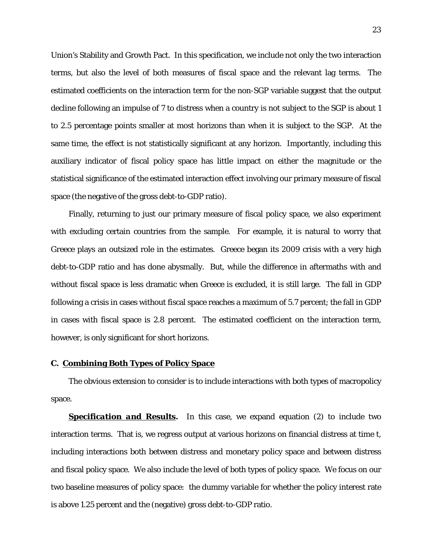Union's Stability and Growth Pact. In this specification, we include not only the two interaction terms, but also the level of both measures of fiscal space and the relevant lag terms. The estimated coefficients on the interaction term for the non-SGP variable suggest that the output decline following an impulse of 7 to distress when a country is not subject to the SGP is about 1 to 2.5 percentage points smaller at most horizons than when it is subject to the SGP. At the same time, the effect is not statistically significant at any horizon. Importantly, including this auxiliary indicator of fiscal policy space has little impact on either the magnitude or the statistical significance of the estimated interaction effect involving our primary measure of fiscal space (the negative of the gross debt-to-GDP ratio).

Finally, returning to just our primary measure of fiscal policy space, we also experiment with excluding certain countries from the sample. For example, it is natural to worry that Greece plays an outsized role in the estimates. Greece began its 2009 crisis with a very high debt-to-GDP ratio and has done abysmally. But, while the difference in aftermaths with and without fiscal space is less dramatic when Greece is excluded, it is still large. The fall in GDP following a crisis in cases without fiscal space reaches a maximum of 5.7 percent; the fall in GDP in cases with fiscal space is 2.8 percent. The estimated coefficient on the interaction term, however, is only significant for short horizons.

### **C. Combining Both Types of Policy Space**

The obvious extension to consider is to include interactions with both types of macropolicy space.

**Specification and Results.** In this case, we expand equation (2) to include two interaction terms. That is, we regress output at various horizons on financial distress at time *t*, including interactions both between distress and monetary policy space and between distress and fiscal policy space. We also include the level of both types of policy space. We focus on our two baseline measures of policy space: the dummy variable for whether the policy interest rate is above 1.25 percent and the (negative) gross debt-to-GDP ratio.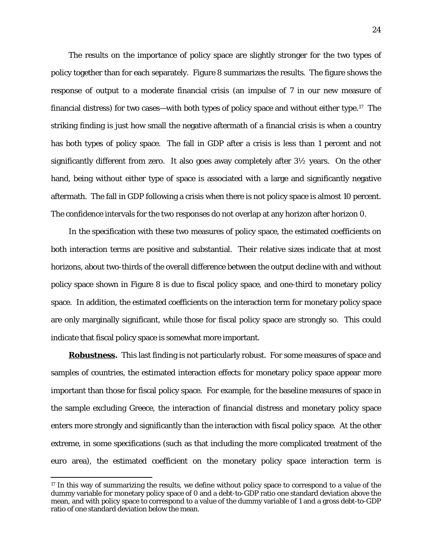The results on the importance of policy space are slightly stronger for the two types of policy together than for each separately. Figure 8 summarizes the results. The figure shows the response of output to a moderate financial crisis (an impulse of 7 in our new measure of financial distress) for two cases—with both types of policy space and without either type.[17](#page-25-0) The striking finding is just how small the negative aftermath of a financial crisis is when a country has both types of policy space. The fall in GDP after a crisis is less than 1 percent and not significantly different from zero. It also goes away completely after  $3\frac{1}{2}$  years. On the other hand, being without either type of space is associated with a large and significantly negative aftermath. The fall in GDP following a crisis when there is not policy space is almost 10 percent. The confidence intervals for the two responses do not overlap at any horizon after horizon 0.

In the specification with these two measures of policy space, the estimated coefficients on both interaction terms are positive and substantial. Their relative sizes indicate that at most horizons, about two-thirds of the overall difference between the output decline with and without policy space shown in Figure 8 is due to fiscal policy space, and one-third to monetary policy space. In addition, the estimated coefficients on the interaction term for monetary policy space are only marginally significant, while those for fiscal policy space are strongly so. This could indicate that fiscal policy space is somewhat more important.

*Robustness***.** This last finding is not particularly robust. For some measures of space and samples of countries, the estimated interaction effects for monetary policy space appear more important than those for fiscal policy space. For example, for the baseline measures of space in the sample excluding Greece, the interaction of financial distress and monetary policy space enters more strongly and significantly than the interaction with fiscal policy space. At the other extreme, in some specifications (such as that including the more complicated treatment of the euro area), the estimated coefficient on the monetary policy space interaction term is

 $\overline{a}$ 

<span id="page-25-0"></span><sup>&</sup>lt;sup>17</sup> In this way of summarizing the results, we define without policy space to correspond to a value of the dummy variable for monetary policy space of 0 and a debt-to-GDP ratio one standard deviation above the mean, and with policy space to correspond to a value of the dummy variable of 1 and a gross debt-to-GDP ratio of one standard deviation below the mean.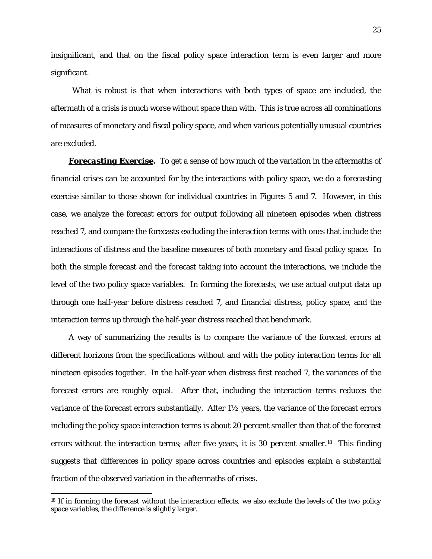insignificant, and that on the fiscal policy space interaction term is even larger and more significant.

 What is robust is that when interactions with both types of space are included, the aftermath of a crisis is much worse without space than with. This is true across all combinations of measures of monetary and fiscal policy space, and when various potentially unusual countries are excluded.

*Forecasting Exercise***.** To get a sense of how much of the variation in the aftermaths of financial crises can be accounted for by the interactions with policy space, we do a forecasting exercise similar to those shown for individual countries in Figures 5 and 7. However, in this case, we analyze the forecast errors for output following all nineteen episodes when distress reached 7, and compare the forecasts excluding the interaction terms with ones that include the interactions of distress and the baseline measures of both monetary and fiscal policy space. In both the simple forecast and the forecast taking into account the interactions, we include the level of the two policy space variables. In forming the forecasts, we use actual output data up through one half-year before distress reached 7, and financial distress, policy space, and the interaction terms up through the half-year distress reached that benchmark.

A way of summarizing the results is to compare the variance of the forecast errors at different horizons from the specifications without and with the policy interaction terms for all nineteen episodes together. In the half-year when distress first reached 7, the variances of the forecast errors are roughly equal. After that, including the interaction terms reduces the variance of the forecast errors substantially. After  $1\frac{1}{2}$  years, the variance of the forecast errors including the policy space interaction terms is about 20 percent smaller than that of the forecast errors without the interaction terms; after five years, it is 30 percent smaller.<sup>[18](#page-26-0)</sup> This finding suggests that differences in policy space across countries and episodes explain a substantial fraction of the observed variation in the aftermaths of crises.

 $\overline{\phantom{a}}$ 

<span id="page-26-0"></span><sup>&</sup>lt;sup>18</sup> If in forming the forecast without the interaction effects, we also exclude the levels of the two policy space variables, the difference is slightly larger.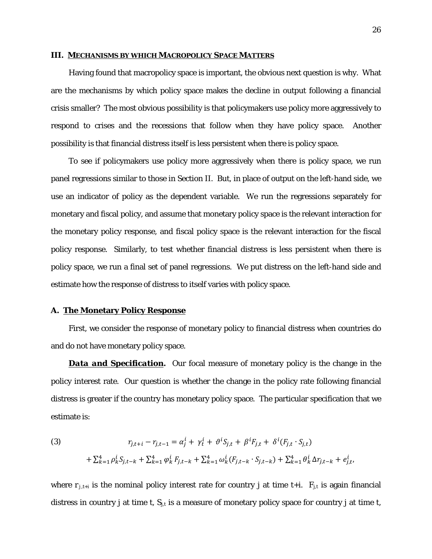#### **III. MECHANISMS BY WHICH MACROPOLICY SPACE MATTERS**

Having found that macropolicy space is important, the obvious next question is why. What are the mechanisms by which policy space makes the decline in output following a financial crisis smaller? The most obvious possibility is that policymakers use policy more aggressively to respond to crises and the recessions that follow when they have policy space. Another possibility is that financial distress itself is less persistent when there is policy space.

To see if policymakers use policy more aggressively when there is policy space, we run panel regressions similar to those in Section II. But, in place of output on the left-hand side, we use an indicator of policy as the dependent variable. We run the regressions separately for monetary and fiscal policy, and assume that monetary policy space is the relevant interaction for the monetary policy response, and fiscal policy space is the relevant interaction for the fiscal policy response. Similarly, to test whether financial distress is less persistent when there is policy space, we run a final set of panel regressions. We put distress on the left-hand side and estimate how the response of distress to itself varies with policy space.

## **A. The Monetary Policy Response**

First, we consider the response of monetary policy to financial distress when countries do and do not have monetary policy space.

*Data and Specification.* Our focal measure of monetary policy is the change in the policy interest rate. Our question is whether the change in the policy rate following financial distress is greater if the country has monetary policy space. The particular specification that we estimate is:

(3)  
\n
$$
r_{j,t+i} - r_{j,t-1} = \alpha_j^i + \gamma_t^i + \vartheta^i S_{j,t} + \beta^i F_{j,t} + \delta^i (F_{j,t} \cdot S_{j,t})
$$
\n
$$
+ \sum_{k=1}^4 \rho_k^i S_{j,t-k} + \sum_{k=1}^4 \varphi_k^i F_{j,t-k} + \sum_{k=1}^4 \omega_k^i (F_{j,t-k} \cdot S_{j,t-k}) + \sum_{k=1}^4 \theta_k^i \Delta r_{j,t-k} + e_{j,t}^i,
$$

where  $r_{j,t+i}$  is the nominal policy interest rate for country *j* at time  $t+i$ .  $F_{j,t}$  is again financial distress in country *j* at time *t*, *Sj,t* is a measure of monetary policy space for country *j* at time *t*,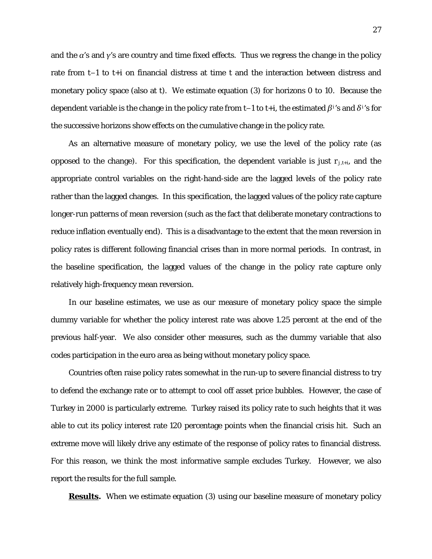and the *α*'s and *γ*'s are country and time fixed effects. Thus we regress the change in the policy rate from *t*−1 to *t*+*i* on financial distress at time *t* and the interaction between distress and monetary policy space (also at *t*). We estimate equation (3) for horizons 0 to 10. Because the dependent variable is the change in the policy rate from  $t-1$  to  $t+i$ , the estimated  $\beta$ <sup>*i*</sup>'s and  $\delta$ <sup>*i*</sup>'s for the successive horizons show effects on the cumulative change in the policy rate.

As an alternative measure of monetary policy, we use the level of the policy rate (as opposed to the change). For this specification, the dependent variable is just  $r_{j,t+i}$ , and the appropriate control variables on the right-hand-side are the lagged levels of the policy rate rather than the lagged changes. In this specification, the lagged values of the policy rate capture longer-run patterns of mean reversion (such as the fact that deliberate monetary contractions to reduce inflation eventually end). This is a disadvantage to the extent that the mean reversion in policy rates is different following financial crises than in more normal periods. In contrast, in the baseline specification, the lagged values of the change in the policy rate capture only relatively high-frequency mean reversion.

In our baseline estimates, we use as our measure of monetary policy space the simple dummy variable for whether the policy interest rate was above 1.25 percent at the end of the previous half-year. We also consider other measures, such as the dummy variable that also codes participation in the euro area as being without monetary policy space.

Countries often raise policy rates somewhat in the run-up to severe financial distress to try to defend the exchange rate or to attempt to cool off asset price bubbles. However, the case of Turkey in 2000 is particularly extreme. Turkey raised its policy rate to such heights that it was able to cut its policy interest rate 120 percentage points when the financial crisis hit. Such an extreme move will likely drive any estimate of the response of policy rates to financial distress. For this reason, we think the most informative sample excludes Turkey. However, we also report the results for the full sample.

*Results*. When we estimate equation (3) using our baseline measure of monetary policy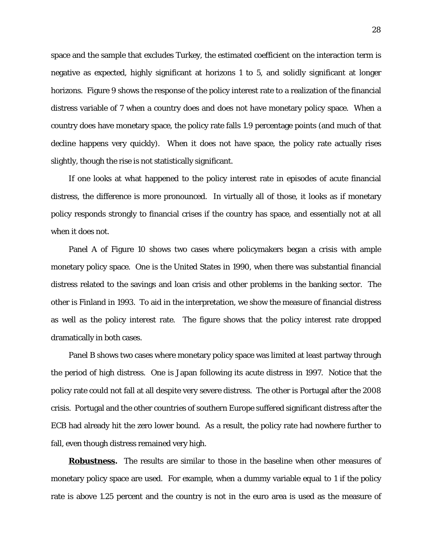space and the sample that excludes Turkey, the estimated coefficient on the interaction term is negative as expected, highly significant at horizons 1 to 5, and solidly significant at longer horizons. Figure 9 shows the response of the policy interest rate to a realization of the financial distress variable of 7 when a country does and does not have monetary policy space. When a country does have monetary space, the policy rate falls 1.9 percentage points (and much of that decline happens very quickly). When it does not have space, the policy rate actually rises slightly, though the rise is not statistically significant.

If one looks at what happened to the policy interest rate in episodes of acute financial distress, the difference is more pronounced. In virtually all of those, it looks as if monetary policy responds strongly to financial crises if the country has space, and essentially not at all when it does not.

Panel A of Figure 10 shows two cases where policymakers began a crisis with ample monetary policy space. One is the United States in 1990, when there was substantial financial distress related to the savings and loan crisis and other problems in the banking sector. The other is Finland in 1993. To aid in the interpretation, we show the measure of financial distress as well as the policy interest rate. The figure shows that the policy interest rate dropped dramatically in both cases.

Panel B shows two cases where monetary policy space was limited at least partway through the period of high distress. One is Japan following its acute distress in 1997. Notice that the policy rate could not fall at all despite very severe distress. The other is Portugal after the 2008 crisis. Portugal and the other countries of southern Europe suffered significant distress after the ECB had already hit the zero lower bound. As a result, the policy rate had nowhere further to fall, even though distress remained very high.

*Robustness***.** The results are similar to those in the baseline when other measures of monetary policy space are used. For example, when a dummy variable equal to 1 if the policy rate is above 1.25 percent and the country is not in the euro area is used as the measure of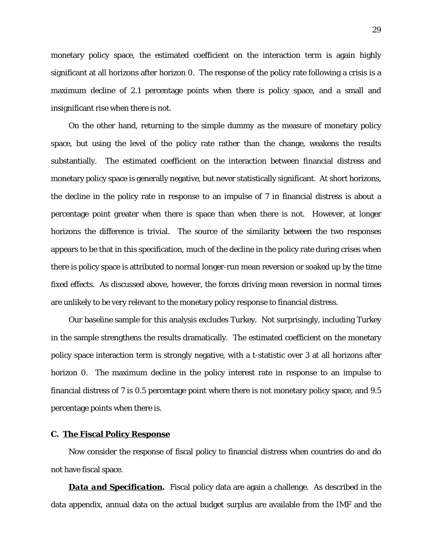monetary policy space, the estimated coefficient on the interaction term is again highly significant at all horizons after horizon 0. The response of the policy rate following a crisis is a maximum decline of 2.1 percentage points when there is policy space, and a small and insignificant rise when there is not.

On the other hand, returning to the simple dummy as the measure of monetary policy space, but using the level of the policy rate rather than the change, weakens the results substantially. The estimated coefficient on the interaction between financial distress and monetary policy space is generally negative, but never statistically significant. At short horizons, the decline in the policy rate in response to an impulse of 7 in financial distress is about a percentage point greater when there is space than when there is not. However, at longer horizons the difference is trivial. The source of the similarity between the two responses appears to be that in this specification, much of the decline in the policy rate during crises when there is policy space is attributed to normal longer-run mean reversion or soaked up by the time fixed effects. As discussed above, however, the forces driving mean reversion in normal times are unlikely to be very relevant to the monetary policy response to financial distress.

Our baseline sample for this analysis excludes Turkey. Not surprisingly, including Turkey in the sample strengthens the results dramatically. The estimated coefficient on the monetary policy space interaction term is strongly negative, with a *t*-statistic over 3 at all horizons after horizon 0. The maximum decline in the policy interest rate in response to an impulse to financial distress of 7 is 0.5 percentage point where there is not monetary policy space, and 9.5 percentage points when there is.

### **C. The Fiscal Policy Response**

Now consider the response of fiscal policy to financial distress when countries do and do not have fiscal space.

*Data and Specification*. Fiscal policy data are again a challenge. As described in the data appendix, annual data on the actual budget surplus are available from the IMF and the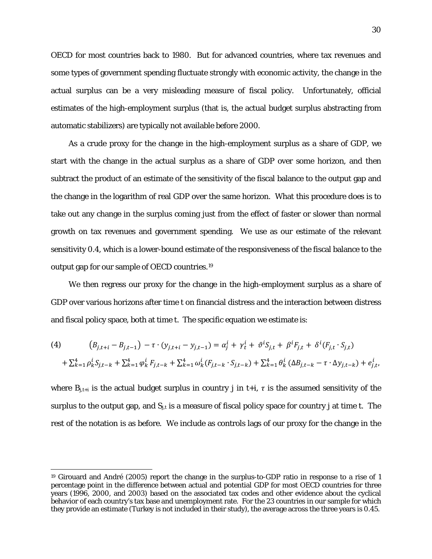OECD for most countries back to 1980. But for advanced countries, where tax revenues and some types of government spending fluctuate strongly with economic activity, the change in the actual surplus can be a very misleading measure of fiscal policy. Unfortunately, official estimates of the high-employment surplus (that is, the actual budget surplus abstracting from automatic stabilizers) are typically not available before 2000.

As a crude proxy for the change in the high-employment surplus as a share of GDP, we start with the change in the actual surplus as a share of GDP over some horizon, and then subtract the product of an estimate of the sensitivity of the fiscal balance to the output gap and the change in the logarithm of real GDP over the same horizon. What this procedure does is to take out any change in the surplus coming just from the effect of faster or slower than normal growth on tax revenues and government spending. We use as our estimate of the relevant sensitivity 0.4, which is a lower-bound estimate of the responsiveness of the fiscal balance to the output gap for our sample of OECD countries.[19](#page-31-0)

We then regress our proxy for the change in the high-employment surplus as a share of GDP over various horizons after time *t* on financial distress and the interaction between distress and fiscal policy space, both at time *t*. The specific equation we estimate is:

(4) 
$$
(B_{j,t+i} - B_{j,t-1}) - \tau \cdot (y_{j,t+i} - y_{j,t-1}) = \alpha_j^i + \gamma_t^i + \vartheta^i S_{j,t} + \beta^i F_{j,t} + \delta^i (F_{j,t} \cdot S_{j,t})
$$

$$
+ \sum_{k=1}^4 \rho_k^i S_{j,t-k} + \sum_{k=1}^4 \varphi_k^i F_{j,t-k} + \sum_{k=1}^4 \omega_k^i (F_{j,t-k} \cdot S_{j,t-k}) + \sum_{k=1}^4 \theta_k^i (\Delta B_{j,t-k} - \tau \cdot \Delta y_{j,t-k}) + e_{j,t}^i,
$$

where  $B_{i,t+i}$  is the actual budget surplus in country *j* in  $t+i$ ,  $\tau$  is the assumed sensitivity of the surplus to the output gap, and *Sj,t* is a measure of fiscal policy space for country *j* at time *t*. The rest of the notation is as before. We include as controls lags of our proxy for the change in the

 $\overline{\phantom{a}}$ 

<span id="page-31-0"></span><sup>19</sup> Girouard and André (2005) report the change in the surplus-to-GDP ratio in response to a rise of 1 percentage point in the difference between actual and potential GDP for most OECD countries for three years (1996, 2000, and 2003) based on the associated tax codes and other evidence about the cyclical behavior of each country's tax base and unemployment rate. For the 23 countries in our sample for which they provide an estimate (Turkey is not included in their study), the average across the three years is 0.45.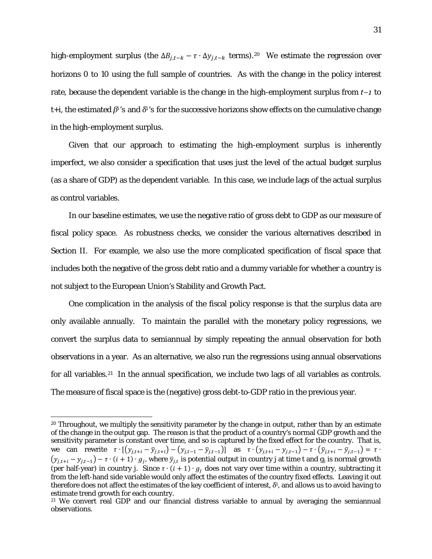high-employment surplus (the  $\Delta B_{j,t-k} - \tau \cdot \Delta y_{j,t-k}$  terms).<sup>[20](#page-32-0)</sup> We estimate the regression over horizons 0 to 10 using the full sample of countries. As with the change in the policy interest rate, because the dependent variable is the change in the high-employment surplus from *t−1* to *t+i*, the estimated *βi*'s and *δi*'s for the successive horizons show effects on the cumulative change in the high-employment surplus.

Given that our approach to estimating the high-employment surplus is inherently imperfect, we also consider a specification that uses just the level of the actual budget surplus (as a share of GDP) as the dependent variable. In this case, we include lags of the actual surplus as control variables.

In our baseline estimates, we use the negative ratio of gross debt to GDP as our measure of fiscal policy space. As robustness checks, we consider the various alternatives described in Section II. For example, we also use the more complicated specification of fiscal space that includes both the negative of the gross debt ratio and a dummy variable for whether a country is not subject to the European Union's Stability and Growth Pact.

One complication in the analysis of the fiscal policy response is that the surplus data are only available annually. To maintain the parallel with the monetary policy regressions, we convert the surplus data to semiannual by simply repeating the annual observation for both observations in a year. As an alternative, we also run the regressions using annual observations for all variables.[21](#page-32-1) In the annual specification, we include two lags of all variables as controls. The measure of fiscal space is the (negative) gross debt-to-GDP ratio in the previous year.

 $\overline{a}$ 

<span id="page-32-0"></span><sup>&</sup>lt;sup>20</sup> Throughout, we multiply the sensitivity parameter by the change in output, rather than by an estimate of the change in the output gap. The reason is that the product of a country's normal GDP growth and the sensitivity parameter is constant over time, and so is captured by the fixed effect for the country. That is, we can rewrite  $\tau \cdot [(y_{j,t+i} - \bar{y}_{j,t+i}) - (y_{j,t-1} - \bar{y}_{j,t-1})]$  as  $\tau \cdot (y_{j,t+i} - y_{j,t-1}) - \tau \cdot (\bar{y}_{j,t+i} - \bar{y}_{j,t-1}) = \tau \cdot$  $(y_{j,t+i} - y_{j,t-1}) - \tau \cdot (i+1) \cdot g_j$ , where  $\bar{y}_{j,t}$  is potential output in country *j* at time *t* and  $g_j$  is normal growth (per half-year) in country *j*. Since  $\tau \cdot (i + 1) \cdot g_i$  does not vary over time within a country, subtracting it from the left-hand side variable would only affect the estimates of the country fixed effects. Leaving it out therefore does not affect the estimates of the key coefficient of interest,  $\delta^i$ , and allows us to avoid having to estimate trend growth for each country.

<span id="page-32-1"></span><sup>&</sup>lt;sup>21</sup> We convert real GDP and our financial distress variable to annual by averaging the semiannual observations.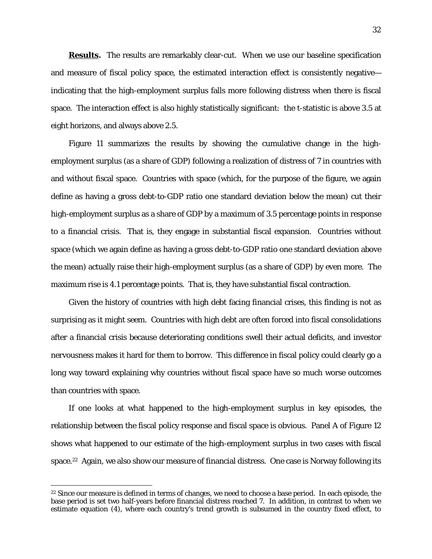*Results*. The results are remarkably clear-cut. When we use our baseline specification and measure of fiscal policy space, the estimated interaction effect is consistently negative indicating that the high-employment surplus falls more following distress when there is fiscal space. The interaction effect is also highly statistically significant: the *t*-statistic is above 3.5 at eight horizons, and always above 2.5.

Figure 11 summarizes the results by showing the cumulative change in the highemployment surplus (as a share of GDP) following a realization of distress of 7 in countries with and without fiscal space. Countries with space (which, for the purpose of the figure, we again define as having a gross debt-to-GDP ratio one standard deviation below the mean) cut their high-employment surplus as a share of GDP by a maximum of 3.5 percentage points in response to a financial crisis. That is, they engage in substantial fiscal expansion. Countries without space (which we again define as having a gross debt-to-GDP ratio one standard deviation above the mean) actually raise their high-employment surplus (as a share of GDP) by even more. The maximum rise is 4.1 percentage points. That is, they have substantial fiscal contraction.

Given the history of countries with high debt facing financial crises, this finding is not as surprising as it might seem. Countries with high debt are often forced into fiscal consolidations after a financial crisis because deteriorating conditions swell their actual deficits, and investor nervousness makes it hard for them to borrow. This difference in fiscal policy could clearly go a long way toward explaining why countries without fiscal space have so much worse outcomes than countries with space.

If one looks at what happened to the high-employment surplus in key episodes, the relationship between the fiscal policy response and fiscal space is obvious. Panel A of Figure 12 shows what happened to our estimate of the high-employment surplus in two cases with fiscal space.<sup>22</sup> Again, we also show our measure of financial distress. One case is Norway following its

<span id="page-33-0"></span><sup>&</sup>lt;sup>22</sup> Since our measure is defined in terms of changes, we need to choose a base period. In each episode, the base period is set two half-years before financial distress reached 7. In addition, in contrast to when we estimate equation (4), where each country's trend growth is subsumed in the country fixed effect, to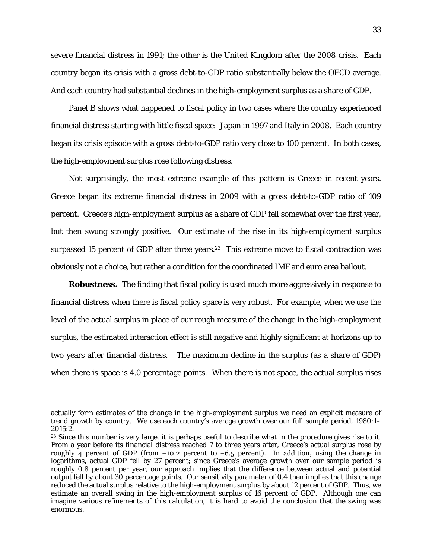severe financial distress in 1991; the other is the United Kingdom after the 2008 crisis. Each country began its crisis with a gross debt-to-GDP ratio substantially below the OECD average. And each country had substantial declines in the high-employment surplus as a share of GDP.

Panel B shows what happened to fiscal policy in two cases where the country experienced financial distress starting with little fiscal space: Japan in 1997 and Italy in 2008. Each country began its crisis episode with a gross debt-to-GDP ratio very close to 100 percent. In both cases, the high-employment surplus rose following distress.

Not surprisingly, the most extreme example of this pattern is Greece in recent years. Greece began its extreme financial distress in 2009 with a gross debt-to-GDP ratio of 109 percent. Greece's high-employment surplus as a share of GDP fell somewhat over the first year, but then swung strongly positive. Our estimate of the rise in its high-employment surplus surpassed 15 percent of GDP after three years.<sup>[23](#page-34-0)</sup> This extreme move to fiscal contraction was obviously not a choice, but rather a condition for the coordinated IMF and euro area bailout.

**Robustness.** The finding that fiscal policy is used much more aggressively in response to financial distress when there is fiscal policy space is very robust. For example, when we use the level of the actual surplus in place of our rough measure of the change in the high-employment surplus, the estimated interaction effect is still negative and highly significant at horizons up to two years after financial distress. The maximum decline in the surplus (as a share of GDP) when there is space is 4.0 percentage points. When there is not space, the actual surplus rises

actually form estimates of the change in the high-employment surplus we need an explicit measure of trend growth by country. We use each country's average growth over our full sample period, 1980:1– 2015:2.

<span id="page-34-0"></span><sup>23</sup> Since this number is very large, it is perhaps useful to describe what in the procedure gives rise to it. From a year before its financial distress reached 7 to three years after, Greece's actual surplus rose by roughly 4 percent of GDP (from  $-10.2$  percent to  $-6.5$  percent). In addition, using the change in logarithms, actual GDP fell by 27 percent; since Greece's average growth over our sample period is roughly 0.8 percent per year, our approach implies that the difference between actual and potential output fell by about 30 percentage points. Our sensitivity parameter of 0.4 then implies that this change reduced the actual surplus relative to the high-employment surplus by about 12 percent of GDP. Thus, we estimate an overall swing in the high-employment surplus of 16 percent of GDP. Although one can imagine various refinements of this calculation, it is hard to avoid the conclusion that the swing was enormous.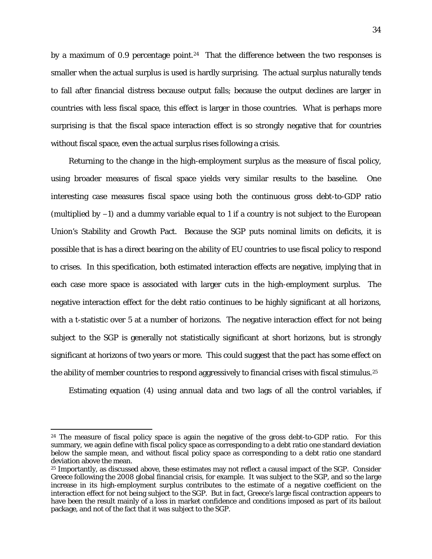by a maximum of 0.9 percentage point.<sup>[24](#page-35-0)</sup> That the difference between the two responses is smaller when the actual surplus is used is hardly surprising. The actual surplus naturally tends to fall after financial distress because output falls; because the output declines are larger in countries with less fiscal space, this effect is larger in those countries. What is perhaps more surprising is that the fiscal space interaction effect is so strongly negative that for countries without fiscal space, even the actual surplus rises following a crisis.

Returning to the change in the high-employment surplus as the measure of fiscal policy, using broader measures of fiscal space yields very similar results to the baseline. One interesting case measures fiscal space using both the continuous gross debt-to-GDP ratio (multiplied by −1) and a dummy variable equal to 1 if a country is not subject to the European Union's Stability and Growth Pact. Because the SGP puts nominal limits on deficits, it is possible that is has a direct bearing on the ability of EU countries to use fiscal policy to respond to crises. In this specification, both estimated interaction effects are negative, implying that in each case more space is associated with larger cuts in the high-employment surplus. The negative interaction effect for the debt ratio continues to be highly significant at all horizons, with a *t*-statistic over 5 at a number of horizons. The negative interaction effect for not being subject to the SGP is generally not statistically significant at short horizons, but is strongly significant at horizons of two years or more. This could suggest that the pact has some effect on the ability of member countries to respond aggressively to financial crises with fiscal stimulus.<sup>[25](#page-35-1)</sup>

Estimating equation (4) using annual data and two lags of all the control variables, if

<span id="page-35-0"></span><sup>&</sup>lt;sup>24</sup> The measure of fiscal policy space is again the negative of the gross debt-to-GDP ratio. For this summary, we again define with fiscal policy space as corresponding to a debt ratio one standard deviation below the sample mean, and without fiscal policy space as corresponding to a debt ratio one standard deviation above the mean.

<span id="page-35-1"></span><sup>25</sup> Importantly, as discussed above, these estimates may not reflect a causal impact of the SGP. Consider Greece following the 2008 global financial crisis, for example. It was subject to the SGP, and so the large increase in its high-employment surplus contributes to the estimate of a negative coefficient on the interaction effect for not being subject to the SGP. But in fact, Greece's large fiscal contraction appears to have been the result mainly of a loss in market confidence and conditions imposed as part of its bailout package, and not of the fact that it was subject to the SGP.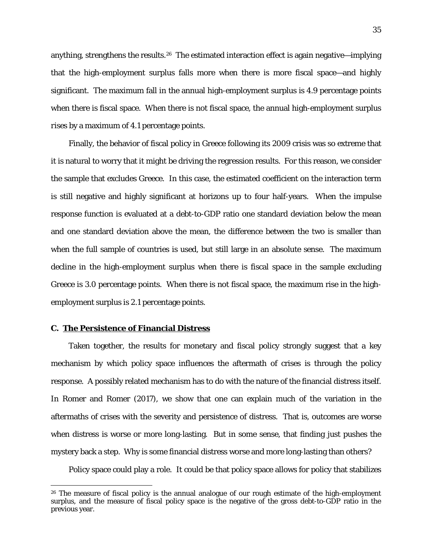anything, strengthens the results[.26](#page-36-0) The estimated interaction effect is again negative—implying that the high-employment surplus falls more when there is more fiscal space—and highly significant. The maximum fall in the annual high-employment surplus is 4.9 percentage points when there is fiscal space. When there is not fiscal space, the annual high-employment surplus *rises* by a maximum of 4.1 percentage points.

Finally, the behavior of fiscal policy in Greece following its 2009 crisis was so extreme that it is natural to worry that it might be driving the regression results. For this reason, we consider the sample that excludes Greece. In this case, the estimated coefficient on the interaction term is still negative and highly significant at horizons up to four half-years. When the impulse response function is evaluated at a debt-to-GDP ratio one standard deviation below the mean and one standard deviation above the mean, the difference between the two is smaller than when the full sample of countries is used, but still large in an absolute sense. The maximum decline in the high-employment surplus when there is fiscal space in the sample excluding Greece is 3.0 percentage points. When there is not fiscal space, the maximum rise in the highemployment surplus is 2.1 percentage points.

## **C. The Persistence of Financial Distress**

l

Taken together, the results for monetary and fiscal policy strongly suggest that a key mechanism by which policy space influences the aftermath of crises is through the policy response. A possibly related mechanism has to do with the nature of the financial distress itself. In Romer and Romer (2017), we show that one can explain much of the variation in the aftermaths of crises with the severity and persistence of distress. That is, outcomes are worse when distress is worse or more long-lasting. But in some sense, that finding just pushes the mystery back a step. Why is some financial distress worse and more long-lasting than others?

Policy space could play a role. It could be that policy space allows for policy that stabilizes

<span id="page-36-0"></span><sup>&</sup>lt;sup>26</sup> The measure of fiscal policy is the annual analogue of our rough estimate of the high-employment surplus, and the measure of fiscal policy space is the negative of the gross debt-to-GDP ratio in the previous year.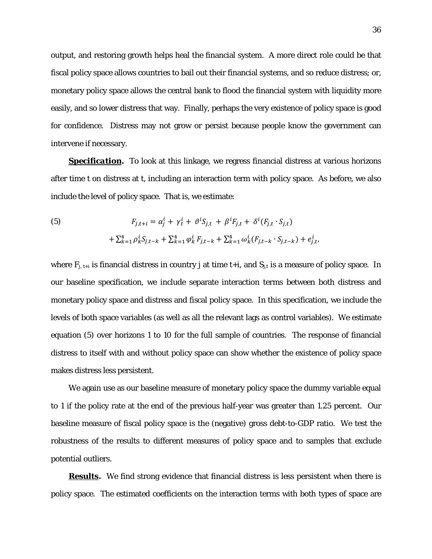output, and restoring growth helps heal the financial system. A more direct role could be that fiscal policy space allows countries to bail out their financial systems, and so reduce distress; or, monetary policy space allows the central bank to flood the financial system with liquidity more easily, and so lower distress that way. Finally, perhaps the very existence of policy space is good for confidence. Distress may not grow or persist because people know the government can intervene if necessary.

**Specification.** To look at this linkage, we regress financial distress at various horizons after time *t* on distress at *t*, including an interaction term with policy space. As before, we also include the level of policy space. That is, we estimate:

(5)  
\n
$$
F_{j,t+i} = \alpha_j^i + \gamma_t^i + \vartheta^i S_{j,t} + \beta^i F_{j,t} + \delta^i (F_{j,t} \cdot S_{j,t})
$$
\n
$$
+ \sum_{k=1}^4 \rho_k^i S_{j,t-k} + \sum_{k=1}^4 \varphi_k^i F_{j,t-k} + \sum_{k=1}^4 \omega_k^i (F_{j,t-k} \cdot S_{j,t-k}) + e_{j,t}^i,
$$

where  $F_{i, t+i}$  is financial distress in country *j* at time  $t+i$ , and  $S_{i,t}$  is a measure of policy space. In our baseline specification, we include separate interaction terms between both distress and monetary policy space and distress and fiscal policy space. In this specification, we include the levels of both space variables (as well as all the relevant lags as control variables). We estimate equation (5) over horizons 1 to 10 for the full sample of countries. The response of financial distress to itself with and without policy space can show whether the existence of policy space makes distress less persistent.

We again use as our baseline measure of monetary policy space the dummy variable equal to 1 if the policy rate at the end of the previous half-year was greater than 1.25 percent. Our baseline measure of fiscal policy space is the (negative) gross debt-to-GDP ratio. We test the robustness of the results to different measures of policy space and to samples that exclude potential outliers.

**Results**. We find strong evidence that financial distress is less persistent when there is policy space. The estimated coefficients on the interaction terms with both types of space are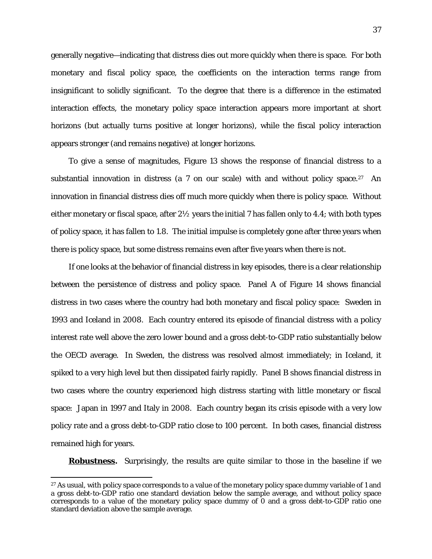generally negative—indicating that distress dies out more quickly when there is space. For both monetary and fiscal policy space, the coefficients on the interaction terms range from insignificant to solidly significant. To the degree that there is a difference in the estimated interaction effects, the monetary policy space interaction appears more important at short horizons (but actually turns positive at longer horizons), while the fiscal policy interaction appears stronger (and remains negative) at longer horizons.

To give a sense of magnitudes, Figure 13 shows the response of financial distress to a substantial innovation in distress (a  $7$  on our scale) with and without policy space.<sup>27</sup> An innovation in financial distress dies off much more quickly when there is policy space. Without either monetary or fiscal space, after  $2\frac{1}{2}$  years the initial 7 has fallen only to 4.4; with both types of policy space, it has fallen to 1.8. The initial impulse is completely gone after three years when there is policy space, but some distress remains even after five years when there is not.

If one looks at the behavior of financial distress in key episodes, there is a clear relationship between the persistence of distress and policy space. Panel A of Figure 14 shows financial distress in two cases where the country had both monetary and fiscal policy space: Sweden in 1993 and Iceland in 2008. Each country entered its episode of financial distress with a policy interest rate well above the zero lower bound and a gross debt-to-GDP ratio substantially below the OECD average. In Sweden, the distress was resolved almost immediately; in Iceland, it spiked to a very high level but then dissipated fairly rapidly. Panel B shows financial distress in two cases where the country experienced high distress starting with little monetary or fiscal space: Japan in 1997 and Italy in 2008. Each country began its crisis episode with a very low policy rate and a gross debt-to-GDP ratio close to 100 percent. In both cases, financial distress remained high for years.

**Robustness.** Surprisingly, the results are quite similar to those in the baseline if we

 $\overline{a}$ 

<span id="page-38-0"></span><sup>&</sup>lt;sup>27</sup> As usual, with policy space corresponds to a value of the monetary policy space dummy variable of 1 and a gross debt-to-GDP ratio one standard deviation below the sample average, and without policy space corresponds to a value of the monetary policy space dummy of 0 and a gross debt-to-GDP ratio one standard deviation above the sample average.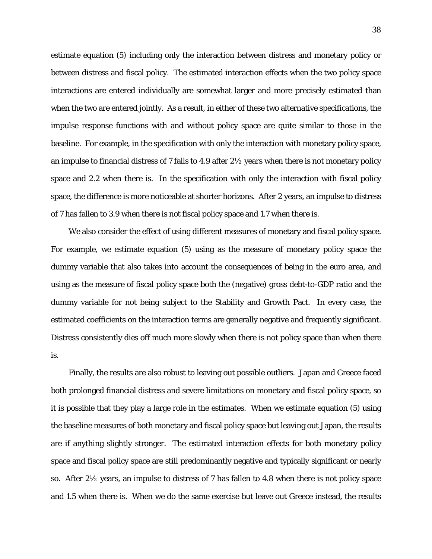estimate equation (5) including only the interaction between distress and monetary policy or between distress and fiscal policy. The estimated interaction effects when the two policy space interactions are entered individually are somewhat larger and more precisely estimated than when the two are entered jointly. As a result, in either of these two alternative specifications, the impulse response functions with and without policy space are quite similar to those in the baseline. For example, in the specification with only the interaction with monetary policy space, an impulse to financial distress of 7 falls to 4.9 after 2½ years when there is not monetary policy space and 2.2 when there is. In the specification with only the interaction with fiscal policy space, the difference is more noticeable at shorter horizons. After 2 years, an impulse to distress of 7 has fallen to 3.9 when there is not fiscal policy space and 1.7 when there is.

We also consider the effect of using different measures of monetary and fiscal policy space. For example, we estimate equation (5) using as the measure of monetary policy space the dummy variable that also takes into account the consequences of being in the euro area, and using as the measure of fiscal policy space both the (negative) gross debt-to-GDP ratio and the dummy variable for not being subject to the Stability and Growth Pact. In every case, the estimated coefficients on the interaction terms are generally negative and frequently significant. Distress consistently dies off much more slowly when there is not policy space than when there is.

Finally, the results are also robust to leaving out possible outliers. Japan and Greece faced both prolonged financial distress and severe limitations on monetary and fiscal policy space, so it is possible that they play a large role in the estimates. When we estimate equation (5) using the baseline measures of both monetary and fiscal policy space but leaving out Japan, the results are if anything slightly stronger. The estimated interaction effects for both monetary policy space and fiscal policy space are still predominantly negative and typically significant or nearly so. After  $2\frac{1}{2}$  years, an impulse to distress of 7 has fallen to 4.8 when there is not policy space and 1.5 when there is. When we do the same exercise but leave out Greece instead, the results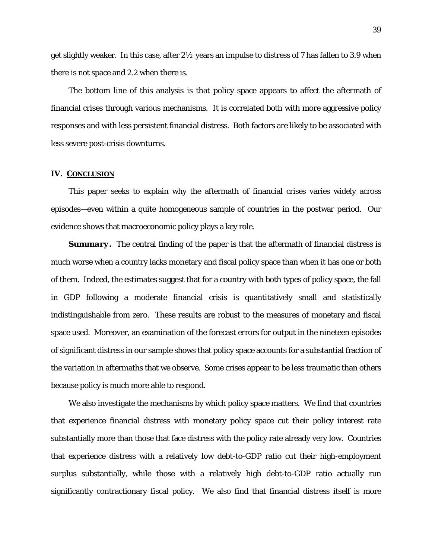get slightly weaker. In this case, after  $2\frac{1}{2}$  years an impulse to distress of 7 has fallen to 3.9 when there is not space and 2.2 when there is.

The bottom line of this analysis is that policy space appears to affect the aftermath of financial crises through various mechanisms. It is correlated both with more aggressive policy responses and with less persistent financial distress. Both factors are likely to be associated with less severe post-crisis downturns.

#### **IV. CONCLUSION**

This paper seeks to explain why the aftermath of financial crises varies widely across episodes—even within a quite homogeneous sample of countries in the postwar period. Our evidence shows that macroeconomic policy plays a key role.

**Summary.** The central finding of the paper is that the aftermath of financial distress is much worse when a country lacks monetary and fiscal policy space than when it has one or both of them. Indeed, the estimates suggest that for a country with both types of policy space, the fall in GDP following a moderate financial crisis is quantitatively small and statistically indistinguishable from zero. These results are robust to the measures of monetary and fiscal space used. Moreover, an examination of the forecast errors for output in the nineteen episodes of significant distress in our sample shows that policy space accounts for a substantial fraction of the variation in aftermaths that we observe. Some crises appear to be less traumatic than others because policy is much more able to respond.

We also investigate the mechanisms by which policy space matters. We find that countries that experience financial distress with monetary policy space cut their policy interest rate substantially more than those that face distress with the policy rate already very low. Countries that experience distress with a relatively low debt-to-GDP ratio cut their high-employment surplus substantially, while those with a relatively high debt-to-GDP ratio actually run significantly contractionary fiscal policy. We also find that financial distress itself is more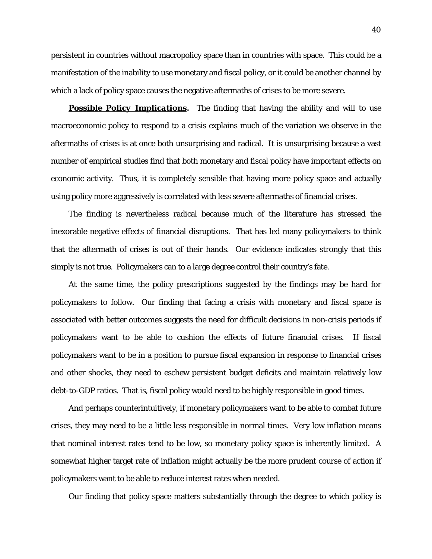persistent in countries without macropolicy space than in countries with space. This could be a manifestation of the inability to use monetary and fiscal policy, or it could be another channel by which a lack of policy space causes the negative aftermaths of crises to be more severe.

**Possible Policy Implications**. The finding that having the ability and will to use macroeconomic policy to respond to a crisis explains much of the variation we observe in the aftermaths of crises is at once both unsurprising and radical. It is unsurprising because a vast number of empirical studies find that both monetary and fiscal policy have important effects on economic activity. Thus, it is completely sensible that having more policy space and actually using policy more aggressively is correlated with less severe aftermaths of financial crises.

The finding is nevertheless radical because much of the literature has stressed the inexorable negative effects of financial disruptions. That has led many policymakers to think that the aftermath of crises is out of their hands. Our evidence indicates strongly that this simply is not true. Policymakers can to a large degree control their country's fate.

At the same time, the policy prescriptions suggested by the findings may be hard for policymakers to follow. Our finding that facing a crisis with monetary and fiscal space is associated with better outcomes suggests the need for difficult decisions in non-crisis periods if policymakers want to be able to cushion the effects of future financial crises. If fiscal policymakers want to be in a position to pursue fiscal expansion in response to financial crises and other shocks, they need to eschew persistent budget deficits and maintain relatively low debt-to-GDP ratios. That is, fiscal policy would need to be highly responsible in good times.

And perhaps counterintuitively, if monetary policymakers want to be able to combat future crises, they may need to be a little less responsible in normal times. Very low inflation means that nominal interest rates tend to be low, so monetary policy space is inherently limited. A somewhat higher target rate of inflation might actually be the more prudent course of action if policymakers want to be able to reduce interest rates when needed.

Our finding that policy space matters substantially through the degree to which policy is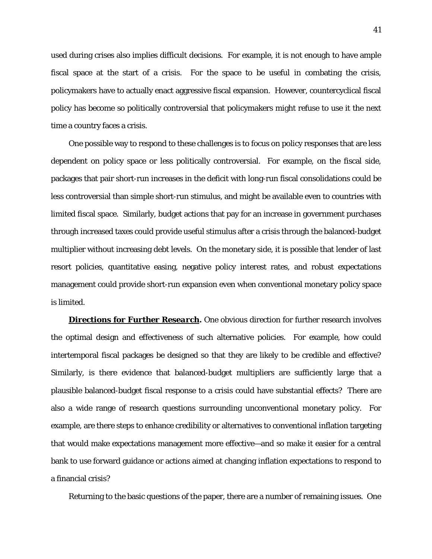used during crises also implies difficult decisions. For example, it is not enough to have ample fiscal space at the start of a crisis. For the space to be useful in combating the crisis, policymakers have to actually enact aggressive fiscal expansion. However, countercyclical fiscal policy has become so politically controversial that policymakers might refuse to use it the next time a country faces a crisis.

One possible way to respond to these challenges is to focus on policy responses that are less dependent on policy space or less politically controversial. For example, on the fiscal side, packages that pair short-run increases in the deficit with long-run fiscal consolidations could be less controversial than simple short-run stimulus, and might be available even to countries with limited fiscal space. Similarly, budget actions that pay for an increase in government purchases through increased taxes could provide useful stimulus after a crisis through the balanced-budget multiplier without increasing debt levels. On the monetary side, it is possible that lender of last resort policies, quantitative easing, negative policy interest rates, and robust expectations management could provide short-run expansion even when conventional monetary policy space is limited.

**Directions for Further Research**. One obvious direction for further research involves the optimal design and effectiveness of such alternative policies. For example, how could intertemporal fiscal packages be designed so that they are likely to be credible and effective? Similarly, is there evidence that balanced-budget multipliers are sufficiently large that a plausible balanced-budget fiscal response to a crisis could have substantial effects? There are also a wide range of research questions surrounding unconventional monetary policy. For example, are there steps to enhance credibility or alternatives to conventional inflation targeting that would make expectations management more effective—and so make it easier for a central bank to use forward guidance or actions aimed at changing inflation expectations to respond to a financial crisis?

Returning to the basic questions of the paper, there are a number of remaining issues. One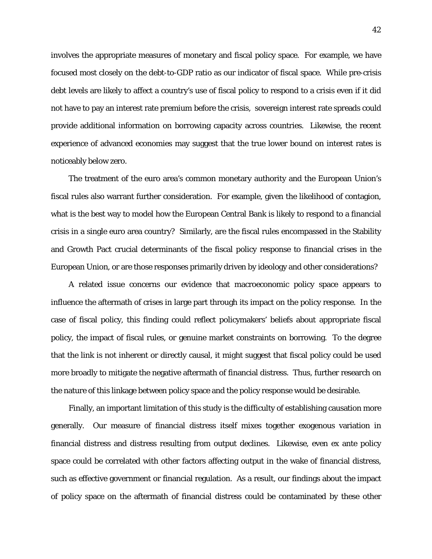involves the appropriate measures of monetary and fiscal policy space. For example, we have focused most closely on the debt-to-GDP ratio as our indicator of fiscal space. While pre-crisis debt levels are likely to affect a country's use of fiscal policy to respond to a crisis even if it did not have to pay an interest rate premium before the crisis, sovereign interest rate spreads could provide additional information on borrowing capacity across countries. Likewise, the recent experience of advanced economies may suggest that the true lower bound on interest rates is noticeably below zero.

The treatment of the euro area's common monetary authority and the European Union's fiscal rules also warrant further consideration. For example, given the likelihood of contagion, what is the best way to model how the European Central Bank is likely to respond to a financial crisis in a single euro area country? Similarly, are the fiscal rules encompassed in the Stability and Growth Pact crucial determinants of the fiscal policy response to financial crises in the European Union, or are those responses primarily driven by ideology and other considerations?

A related issue concerns our evidence that macroeconomic policy space appears to influence the aftermath of crises in large part through its impact on the policy response. In the case of fiscal policy, this finding could reflect policymakers' beliefs about appropriate fiscal policy, the impact of fiscal rules, or genuine market constraints on borrowing. To the degree that the link is not inherent or directly causal, it might suggest that fiscal policy could be used more broadly to mitigate the negative aftermath of financial distress. Thus, further research on the nature of this linkage between policy space and the policy response would be desirable.

Finally, an important limitation of this study is the difficulty of establishing causation more generally. Our measure of financial distress itself mixes together exogenous variation in financial distress and distress resulting from output declines. Likewise, even ex ante policy space could be correlated with other factors affecting output in the wake of financial distress, such as effective government or financial regulation. As a result, our findings about the impact of policy space on the aftermath of financial distress could be contaminated by these other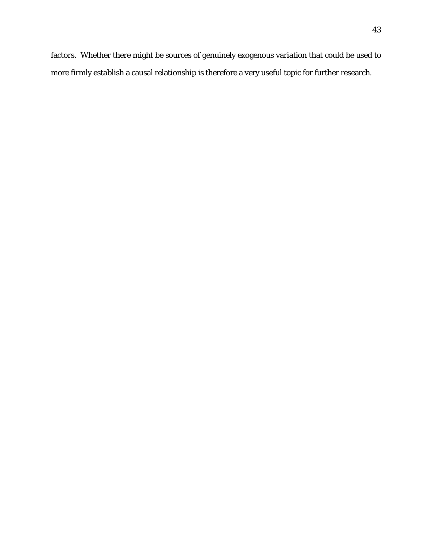factors. Whether there might be sources of genuinely exogenous variation that could be used to more firmly establish a causal relationship is therefore a very useful topic for further research.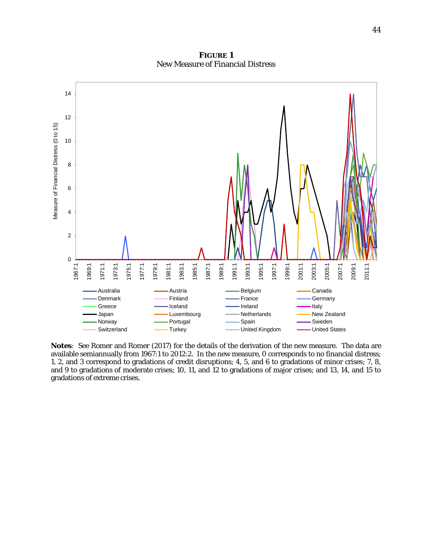**FIGURE 1** New Measure of Financial Distress



*Notes*: See Romer and Romer (2017) for the details of the derivation of the new measure. The data are available semiannually from 1967:1 to 2012:2. In the new measure, 0 corresponds to no financial distress; 1, 2, and 3 correspond to gradations of credit disruptions; 4, 5, and 6 to gradations of minor crises; 7, 8, and 9 to gradations of moderate crises; 10, 11, and 12 to gradations of major crises; and 13, 14, and 15 to gradations of extreme crises.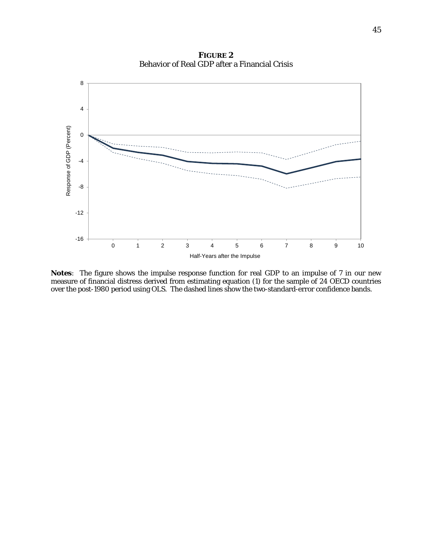**FIGURE 2** Behavior of Real GDP after a Financial Crisis



*Notes*: The figure shows the impulse response function for real GDP to an impulse of 7 in our new measure of financial distress derived from estimating equation (1) for the sample of 24 OECD countries over the post-1980 period using OLS. The dashed lines show the two-standard-error confidence bands.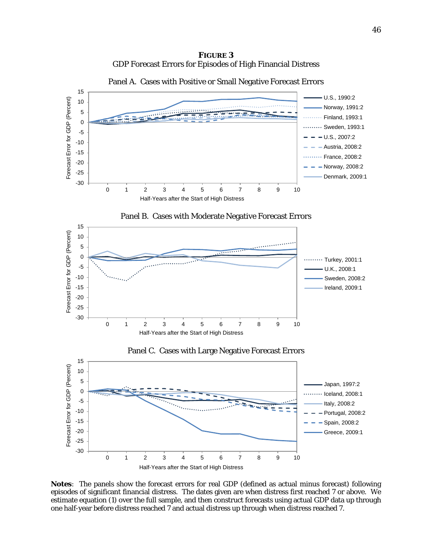**FIGURE 3** GDP Forecast Errors for Episodes of High Financial Distress







*Notes*: The panels show the forecast errors for real GDP (defined as actual minus forecast) following episodes of significant financial distress. The dates given are when distress first reached 7 or above. We estimate equation (1) over the full sample, and then construct forecasts using actual GDP data up through one half-year before distress reached 7 and actual distress up through when distress reached 7.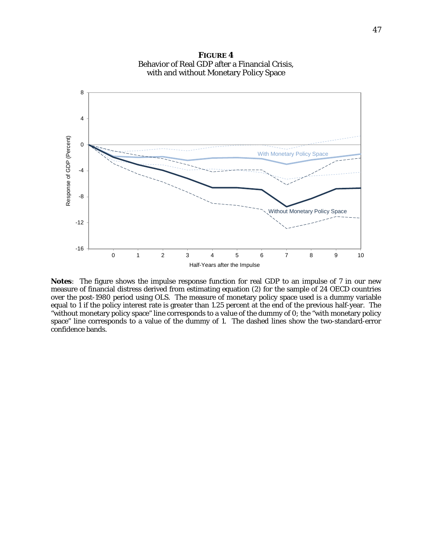**FIGURE 4** Behavior of Real GDP after a Financial Crisis, with and without Monetary Policy Space



*Notes*: The figure shows the impulse response function for real GDP to an impulse of 7 in our new measure of financial distress derived from estimating equation (2) for the sample of 24 OECD countries over the post-1980 period using OLS. The measure of monetary policy space used is a dummy variable equal to 1 if the policy interest rate is greater than 1.25 percent at the end of the previous half-year. The "without monetary policy space" line corresponds to a value of the dummy of 0; the "with monetary policy space" line corresponds to a value of the dummy of 1. The dashed lines show the two-standard-error confidence bands.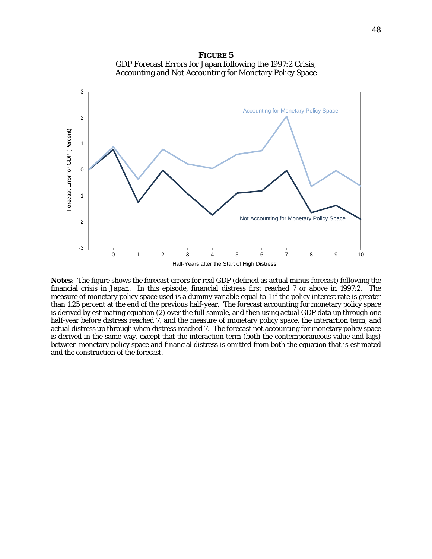**FIGURE 5** GDP Forecast Errors for Japan following the 1997:2 Crisis, Accounting and Not Accounting for Monetary Policy Space



*Notes*: The figure shows the forecast errors for real GDP (defined as actual minus forecast) following the financial crisis in Japan. In this episode, financial distress first reached 7 or above in 1997:2. The measure of monetary policy space used is a dummy variable equal to 1 if the policy interest rate is greater than 1.25 percent at the end of the previous half-year. The forecast accounting for monetary policy space is derived by estimating equation (2) over the full sample, and then using actual GDP data up through one half-year before distress reached 7, and the measure of monetary policy space, the interaction term, and actual distress up through when distress reached 7. The forecast not accounting for monetary policy space is derived in the same way, except that the interaction term (both the contemporaneous value and lags) between monetary policy space and financial distress is omitted from both the equation that is estimated and the construction of the forecast.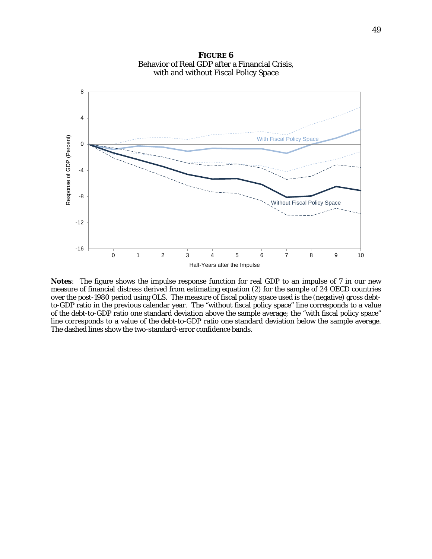with and without Fiscal Policy Space 8 4 Response of GDP (Percent) Response of GDP (Percent) With Fiscal Policy Space 0 -4 -8 Without Fiscal Policy Space-12 -16 0 1 2 3 4 5 6 7 8 9 10 Half-Years after the Impulse

**FIGURE 6** Behavior of Real GDP after a Financial Crisis,

*Notes*: The figure shows the impulse response function for real GDP to an impulse of 7 in our new measure of financial distress derived from estimating equation (2) for the sample of 24 OECD countries over the post-1980 period using OLS. The measure of fiscal policy space used is the (negative) gross debtto-GDP ratio in the previous calendar year. The "without fiscal policy space" line corresponds to a value of the debt-to-GDP ratio one standard deviation above the sample average; the "with fiscal policy space" line corresponds to a value of the debt-to-GDP ratio one standard deviation below the sample average. The dashed lines show the two-standard-error confidence bands.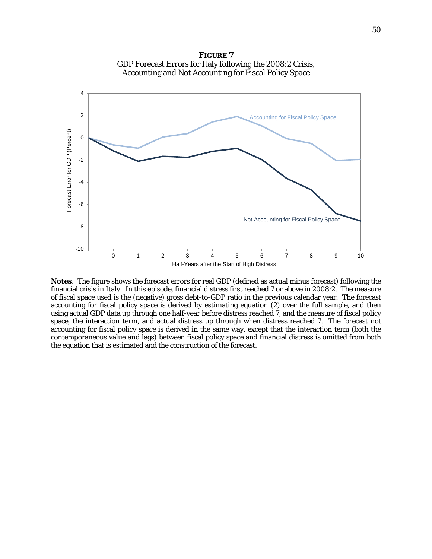**FIGURE 7** GDP Forecast Errors for Italy following the 2008:2 Crisis, Accounting and Not Accounting for Fiscal Policy Space



*Notes*: The figure shows the forecast errors for real GDP (defined as actual minus forecast) following the financial crisis in Italy. In this episode, financial distress first reached 7 or above in 2008:2. The measure of fiscal space used is the (negative) gross debt-to-GDP ratio in the previous calendar year. The forecast accounting for fiscal policy space is derived by estimating equation (2) over the full sample, and then using actual GDP data up through one half-year before distress reached 7, and the measure of fiscal policy space, the interaction term, and actual distress up through when distress reached 7. The forecast not accounting for fiscal policy space is derived in the same way, except that the interaction term (both the contemporaneous value and lags) between fiscal policy space and financial distress is omitted from both the equation that is estimated and the construction of the forecast.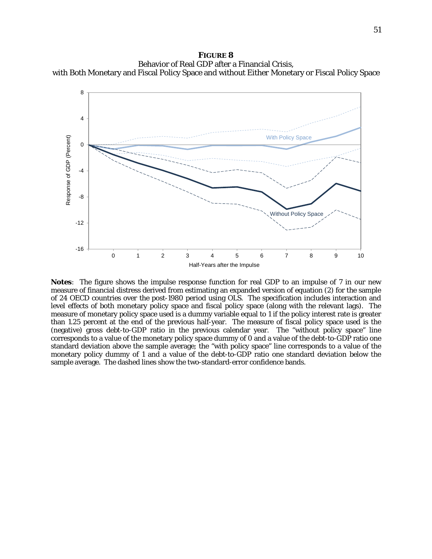**FIGURE 8** Behavior of Real GDP after a Financial Crisis, with *Both* Monetary and Fiscal Policy Space and without *Either* Monetary or Fiscal Policy Space



*Notes*: The figure shows the impulse response function for real GDP to an impulse of 7 in our new measure of financial distress derived from estimating an expanded version of equation (2) for the sample of 24 OECD countries over the post-1980 period using OLS. The specification includes interaction and level effects of both monetary policy space and fiscal policy space (along with the relevant lags). The measure of monetary policy space used is a dummy variable equal to 1 if the policy interest rate is greater than 1.25 percent at the end of the previous half-year. The measure of fiscal policy space used is the (negative) gross debt-to-GDP ratio in the previous calendar year. The "without policy space" line corresponds to a value of the monetary policy space dummy of 0 and a value of the debt-to-GDP ratio one standard deviation above the sample average; the "with policy space" line corresponds to a value of the monetary policy dummy of 1 and a value of the debt-to-GDP ratio one standard deviation below the sample average. The dashed lines show the two-standard-error confidence bands.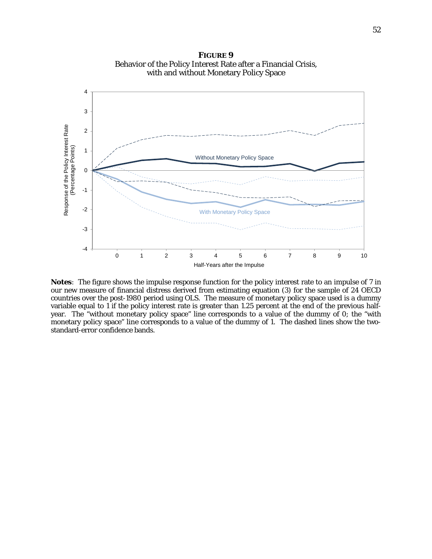**FIGURE 9** Behavior of the Policy Interest Rate after a Financial Crisis, with and without Monetary Policy Space



*Notes*: The figure shows the impulse response function for the policy interest rate to an impulse of 7 in our new measure of financial distress derived from estimating equation (3) for the sample of 24 OECD countries over the post-1980 period using OLS. The measure of monetary policy space used is a dummy variable equal to 1 if the policy interest rate is greater than 1.25 percent at the end of the previous halfyear. The "without monetary policy space" line corresponds to a value of the dummy of 0; the "with monetary policy space" line corresponds to a value of the dummy of 1. The dashed lines show the twostandard-error confidence bands.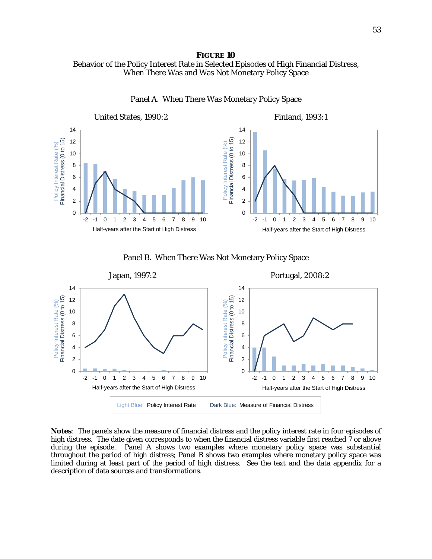**FIGURE 10** Behavior of the Policy Interest Rate in Selected Episodes of High Financial Distress, When There Was and Was Not Monetary Policy Space



Panel A. When There Was Monetary Policy Space





*Notes*: The panels show the measure of financial distress and the policy interest rate in four episodes of high distress. The date given corresponds to when the financial distress variable first reached 7 or above during the episode. Panel A shows two examples where monetary policy space was substantial throughout the period of high distress; Panel B shows two examples where monetary policy space was limited during at least part of the period of high distress. See the text and the data appendix for a description of data sources and transformations.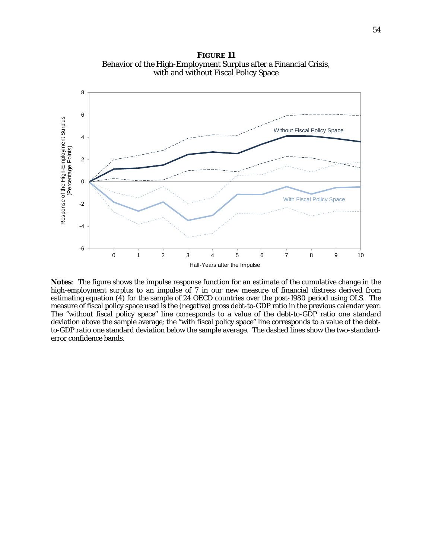**FIGURE 11** Behavior of the High-Employment Surplus after a Financial Crisis, with and without Fiscal Policy Space



*Notes*: The figure shows the impulse response function for an estimate of the cumulative change in the high-employment surplus to an impulse of 7 in our new measure of financial distress derived from estimating equation (4) for the sample of 24 OECD countries over the post-1980 period using OLS. The measure of fiscal policy space used is the (negative) gross debt-to-GDP ratio in the previous calendar year. The "without fiscal policy space" line corresponds to a value of the debt-to-GDP ratio one standard deviation above the sample average; the "with fiscal policy space" line corresponds to a value of the debtto-GDP ratio one standard deviation below the sample average. The dashed lines show the two-standarderror confidence bands.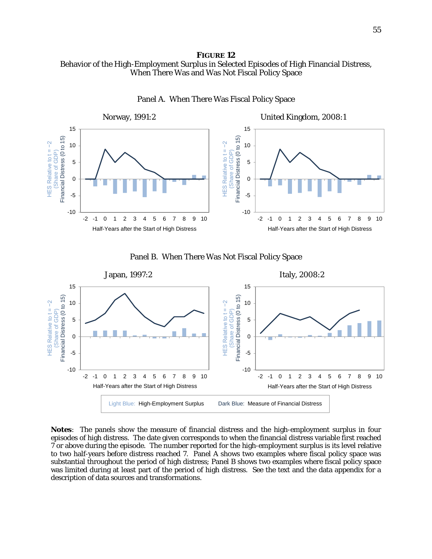**FIGURE 12** Behavior of the High-Employment Surplus in Selected Episodes of High Financial Distress, When There Was and Was Not Fiscal Policy Space



Panel A. When There Was Fiscal Policy Space

Panel B. When There Was *Not* Fiscal Policy Space



*Notes*: The panels show the measure of financial distress and the high-employment surplus in four episodes of high distress. The date given corresponds to when the financial distress variable first reached 7 or above during the episode. The number reported for the high-employment surplus is its level relative to two half-years before distress reached 7. Panel A shows two examples where fiscal policy space was substantial throughout the period of high distress; Panel B shows two examples where fiscal policy space was limited during at least part of the period of high distress. See the text and the data appendix for a description of data sources and transformations.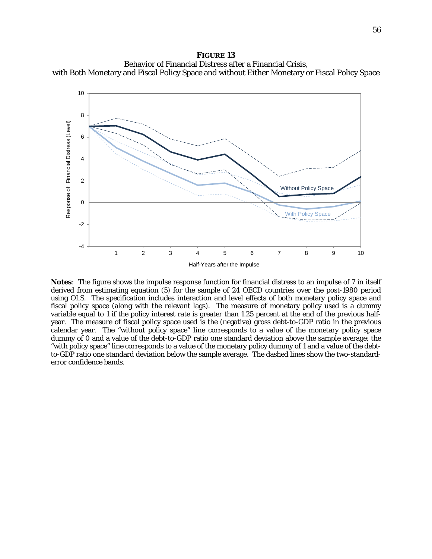**FIGURE 13** Behavior of Financial Distress after a Financial Crisis, with *Both* Monetary and Fiscal Policy Space and without *Either* Monetary or Fiscal Policy Space



*Notes*: The figure shows the impulse response function for financial distress to an impulse of 7 in itself derived from estimating equation (5) for the sample of 24 OECD countries over the post-1980 period using OLS. The specification includes interaction and level effects of both monetary policy space and fiscal policy space (along with the relevant lags). The measure of monetary policy used is a dummy variable equal to 1 if the policy interest rate is greater than 1.25 percent at the end of the previous halfyear. The measure of fiscal policy space used is the (negative) gross debt-to-GDP ratio in the previous calendar year. The "without policy space" line corresponds to a value of the monetary policy space dummy of 0 and a value of the debt-to-GDP ratio one standard deviation above the sample average; the "with policy space" line corresponds to a value of the monetary policy dummy of 1 and a value of the debtto-GDP ratio one standard deviation below the sample average. The dashed lines show the two-standarderror confidence bands.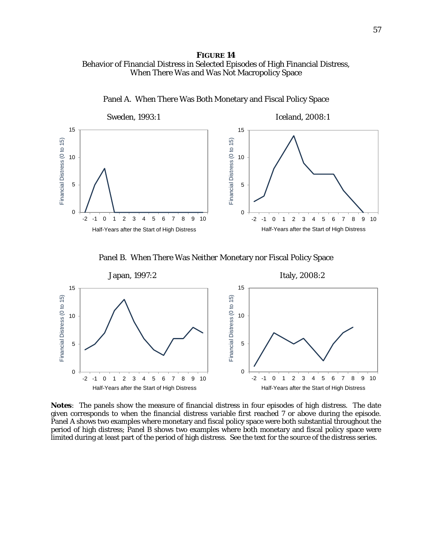**FIGURE 14** Behavior of Financial Distress in Selected Episodes of High Financial Distress, When There Was and Was Not Macropolicy Space



Panel A. When There Was *Both* Monetary and Fiscal Policy Space





*Notes*: The panels show the measure of financial distress in four episodes of high distress. The date given corresponds to when the financial distress variable first reached 7 or above during the episode. Panel A shows two examples where monetary and fiscal policy space were both substantial throughout the period of high distress; Panel B shows two examples where both monetary and fiscal policy space were limited during at least part of the period of high distress. See the text for the source of the distress series.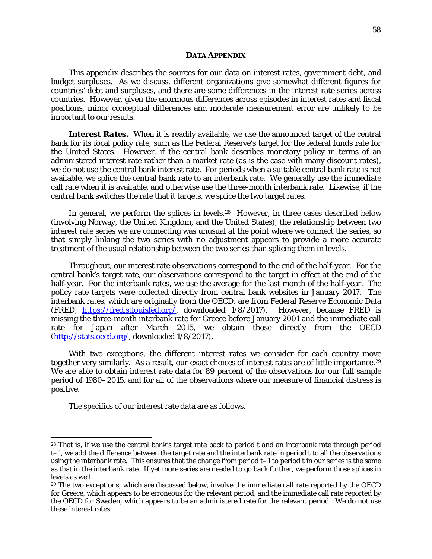#### **DATA APPENDIX**

This appendix describes the sources for our data on interest rates, government debt, and budget surpluses. As we discuss, different organizations give somewhat different figures for countries' debt and surpluses, and there are some differences in the interest rate series across countries. However, given the enormous differences across episodes in interest rates and fiscal positions, minor conceptual differences and moderate measurement error are unlikely to be important to our results.

**Interest Rates.** When it is readily available, we use the announced target of the central bank for its focal policy rate, such as the Federal Reserve's target for the federal funds rate for the United States. However, if the central bank describes monetary policy in terms of an administered interest rate rather than a market rate (as is the case with many discount rates), we do not use the central bank interest rate. For periods when a suitable central bank rate is not available, we splice the central bank rate to an interbank rate. We generally use the immediate call rate when it is available, and otherwise use the three-month interbank rate. Likewise, if the central bank switches the rate that it targets, we splice the two target rates.

In general, we perform the splices in levels.<sup>[28](#page-59-0)</sup> However, in three cases described below (involving Norway, the United Kingdom, and the United States), the relationship between two interest rate series we are connecting was unusual at the point where we connect the series, so that simply linking the two series with no adjustment appears to provide a more accurate treatment of the usual relationship between the two series than splicing them in levels.

Throughout, our interest rate observations correspond to the end of the half-year. For the central bank's target rate, our observations correspond to the target in effect at the end of the half-year. For the interbank rates, we use the average for the last month of the half-year. The policy rate targets were collected directly from central bank websites in January 2017. The interbank rates, which are originally from the OECD, are from Federal Reserve Economic Data (FRED, [https://fred.stlouisfed.org/,](https://fred.stlouisfed.org/) downloaded 1/8/2017). However, because FRED is missing the three-month interbank rate for Greece before January 2001 and the immediate call rate for Japan after March 2015, we obtain those directly from the OECD [\(http://stats.oecd.org/,](http://stats.oecd.org/) downloaded 1/8/2017).

With two exceptions, the different interest rates we consider for each country move together very similarly. As a result, our exact choices of interest rates are of little importance.[29](#page-59-1) We are able to obtain interest rate data for 89 percent of the observations for our full sample period of 1980–2015, and for all of the observations where our measure of financial distress is positive.

The specifics of our interest rate data are as follows.

<span id="page-59-0"></span><sup>28</sup> That is, if we use the central bank's target rate back to period *t* and an interbank rate through period *t*–1, we add the difference between the target rate and the interbank rate in period *t* to all the observations using the interbank rate. This ensures that the change from period *t*–1 to period *t* in our series is the same as that in the interbank rate. If yet more series are needed to go back further, we perform those splices in levels as well.

<span id="page-59-1"></span><sup>29</sup> The two exceptions, which are discussed below, involve the immediate call rate reported by the OECD for Greece, which appears to be erroneous for the relevant period, and the immediate call rate reported by the OECD for Sweden, which appears to be an administered rate for the relevant period. We do not use these interest rates.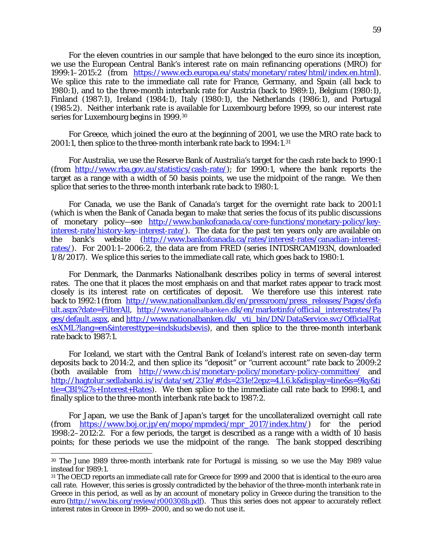For the eleven countries in our sample that have belonged to the euro since its inception, we use the European Central Bank's interest rate on main refinancing operations (MRO) for 1999:1–2015:2 (from [https://www.ecb.europa.eu/stats/monetary/rates/html/index.en.html\)](https://www.ecb.europa.eu/stats/monetary/rates/html/index.en.html). We splice this rate to the immediate call rate for France, Germany, and Spain (all back to 1980:1), and to the three-month interbank rate for Austria (back to 1989:1), Belgium (1980:1), Finland (1987:1), Ireland (1984:1), Italy (1980:1), the Netherlands (1986:1), and Portugal (1985:2). Neither interbank rate is available for Luxembourg before 1999, so our interest rate series for Luxembourg begins in 1999[.30](#page-60-0)

For Greece, which joined the euro at the beginning of 2001, we use the MRO rate back to 2001:1, then splice to the three-month interbank rate back to 1994:1.[31](#page-60-1)

For Australia, we use the Reserve Bank of Australia's target for the cash rate back to 1990:1 (from [http://www.rba.gov.au/statistics/cash-rate/\)](http://www.rba.gov.au/statistics/cash-rate/); for 1990:1, where the bank reports the target as a range with a width of 50 basis points, we use the midpoint of the range. We then splice that series to the three-month interbank rate back to 1980:1.

For Canada, we use the Bank of Canada's target for the overnight rate back to 2001:1 (which is when the Bank of Canada began to make that series the focus of its public discussions of monetary policy—see [http://www.bankofcanada.ca/core-functions/monetary-policy/key](http://www.bankofcanada.ca/core-functions/monetary-policy/key-interest-rate/history-key-interest-rate/)[interest-rate/history-key-interest-rate/\)](http://www.bankofcanada.ca/core-functions/monetary-policy/key-interest-rate/history-key-interest-rate/). The data for the past ten years only are available on the bank's website [\(http://www.bankofcanada.ca/rates/interest-rates/canadian-interest](http://www.bankofcanada.ca/rates/interest-rates/canadian-interest-rates/)[rates/\)](http://www.bankofcanada.ca/rates/interest-rates/canadian-interest-rates/). For 2001:1–2006:2, the data are from FRED (series INTDSRCAM193N, downloaded 1/8/2017). We splice this series to the immediate call rate, which goes back to 1980:1.

For Denmark, the Danmarks Nationalbank describes policy in terms of several interest rates. The one that it places the most emphasis on and that market rates appear to track most closely is its interest rate on certificates of deposit. We therefore use this interest rate back to 1992:1 (from [http://www.nationalbanken.dk/en/pressroom/press\\_releases/Pages/defa](http://www.nationalbanken.dk/en/pressroom/press_releases/Pages/default.aspx?date=FilterAll) [ult.aspx?date=FilterAll,](http://www.nationalbanken.dk/en/pressroom/press_releases/Pages/default.aspx?date=FilterAll) http://www.nationalbanken.dk/en/marketinfo/official interestrates/Pa [ges/default.aspx,](http://www.nationalbanken.dk/en/marketinfo/official_interestrates/Pages/default.aspx) and [http://www.nationalbanken.dk/\\_vti\\_bin/DN/DataService.svc/OfficialRat](http://www.nationalbanken.dk/_vti_bin/DN/DataService.svc/OfficialRatesXML?lang=en&interesttype=indskudsbevis) [esXML?lang=en&interesttype=indskudsbevis\)](http://www.nationalbanken.dk/_vti_bin/DN/DataService.svc/OfficialRatesXML?lang=en&interesttype=indskudsbevis), and then splice to the three-month interbank rate back to 1987:1.

For Iceland, we start with the Central Bank of Iceland's interest rate on seven-day term deposits back to 2014:2, and then splice its "deposit" or "current account" rate back to 2009:2 (both available from <http://www.cb.is/monetary-policy/monetary-policy-committee/> and [http://hagtolur.sedlabanki.is/is/data/set/231e/#!ds=231e!2epz=4.l.6.k&display=line&s=9ky&ti](http://hagtolur.sedlabanki.is/is/data/set/231e/#!ds=231e!2epz=4.l.6.k&display=line&s=9ky&title=CBI%27s+Interest+Rates) [tle=CBI%27s+Interest+Rates\)](http://hagtolur.sedlabanki.is/is/data/set/231e/#!ds=231e!2epz=4.l.6.k&display=line&s=9ky&title=CBI%27s+Interest+Rates). We then splice to the immediate call rate back to 1998:1, and finally splice to the three-month interbank rate back to 1987:2.

For Japan, we use the Bank of Japan's target for the uncollateralized overnight call rate (from [https://www.boj.or.jp/en/mopo/mpmdeci/mpr\\_2017/index.htm/\)](https://www.boj.or.jp/en/mopo/mpmdeci/mpr_2017/index.htm/) for the period 1998:2–2012:2. For a few periods, the target is described as a range with a width of 10 basis points; for these periods we use the midpoint of the range. The bank stopped describing

 $\overline{a}$ 

<span id="page-60-0"></span><sup>30</sup> The June 1989 three-month interbank rate for Portugal is missing, so we use the May 1989 value instead for 1989:1.

<span id="page-60-1"></span><sup>31</sup> The OECD reports an immediate call rate for Greece for 1999 and 2000 that is identical to the euro area call rate. However, this series is grossly contradicted by the behavior of the three-month interbank rate in Greece in this period, as well as by an account of monetary policy in Greece during the transition to the euro [\(http://www.bis.org/review/r000308b.pdf\)](http://www.bis.org/review/r000308b.pdf). Thus this series does not appear to accurately reflect interest rates in Greece in 1999–2000, and so we do not use it.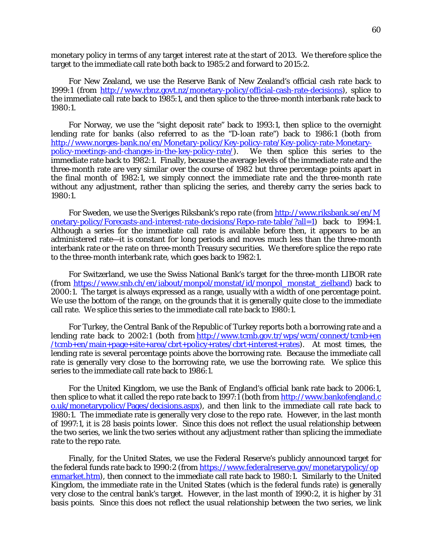monetary policy in terms of any target interest rate at the start of 2013. We therefore splice the target to the immediate call rate both back to 1985:2 and forward to 2015:2.

For New Zealand, we use the Reserve Bank of New Zealand's official cash rate back to 1999:1 (from [http://www.rbnz.govt.nz/monetary-policy/official-cash-rate-decisions\)](http://www.rbnz.govt.nz/monetary-policy/official-cash-rate-decisions), splice to the immediate call rate back to 1985:1, and then splice to the three-month interbank rate back to 1980:1.

For Norway, we use the "sight deposit rate" back to 1993:1, then splice to the overnight lending rate for banks (also referred to as the "D-loan rate") back to 1986:1 (both from [http://www.norges-bank.no/en/Monetary-policy/Key-policy-rate/Key-policy-rate-Monetary](http://www.norges-bank.no/en/Monetary-policy/Key-policy-rate/Key-policy-rate-Monetary-policy-meetings-and-changes-in-the-key-policy-rate/)[policy-meetings-and-changes-in-the-key-policy-rate/\)](http://www.norges-bank.no/en/Monetary-policy/Key-policy-rate/Key-policy-rate-Monetary-policy-meetings-and-changes-in-the-key-policy-rate/). We then splice this series to the immediate rate back to 1982:1. Finally, because the average levels of the immediate rate and the three-month rate are very similar over the course of 1982 but three percentage points apart in the final month of 1982:1, we simply connect the immediate rate and the three-month rate without any adjustment, rather than splicing the series, and thereby carry the series back to 1980:1.

For Sweden, we use the Sveriges Riksbank's repo rate (from [http://www.riksbank.se/en/M](http://www.riksbank.se/en/Monetary-policy/Forecasts-and-interest-rate-decisions/Repo-rate-table/?all=1) [onetary-policy/Forecasts-and-interest-rate-decisions/Repo-rate-table/?all=1\)](http://www.riksbank.se/en/Monetary-policy/Forecasts-and-interest-rate-decisions/Repo-rate-table/?all=1) back to 1994:1. Although a series for the immediate call rate is available before then, it appears to be an administered rate—it is constant for long periods and moves much less than the three-month interbank rate or the rate on three-month Treasury securities. We therefore splice the repo rate to the three-month interbank rate, which goes back to 1982:1.

For Switzerland, we use the Swiss National Bank's target for the three-month LIBOR rate (from [https://www.snb.ch/en/iabout/monpol/monstat/id/monpol\\_monstat\\_zielband\)](https://www.snb.ch/en/iabout/monpol/monstat/id/monpol_monstat_zielband) back to 2000:1. The target is always expressed as a range, usually with a width of one percentage point. We use the bottom of the range, on the grounds that it is generally quite close to the immediate call rate. We splice this series to the immediate call rate back to 1980:1.

For Turkey, the Central Bank of the Republic of Turkey reports both a borrowing rate and a lending rate back to 2002:1 (both from [http://www.tcmb.gov.tr/wps/wcm/connect/tcmb+en](http://www.tcmb.gov.tr/wps/wcm/connect/tcmb+en/tcmb+en/main+page+site+area/cbrt+policy+rates/cbrt+interest+rates) [/tcmb+en/main+page+site+area/cbrt+policy+rates/cbrt+interest+rates\)](http://www.tcmb.gov.tr/wps/wcm/connect/tcmb+en/tcmb+en/main+page+site+area/cbrt+policy+rates/cbrt+interest+rates). At most times, the lending rate is several percentage points above the borrowing rate. Because the immediate call rate is generally very close to the borrowing rate, we use the borrowing rate. We splice this series to the immediate call rate back to 1986:1.

For the United Kingdom, we use the Bank of England's official bank rate back to 2006:1, then splice to what it called the repo rate back to 1997:1 (both from [http://www.bankofengland.c](http://www.bankofengland.co.uk/monetarypolicy/Pages/decisions.aspx)  $\underline{\text{0}.uk/monetarypolicy}/\overline{\text{Pages}/\text{decisions}.\text{aspx}}$ , and then link to the immediate call rate back to 1980:1. The immediate rate is generally very close to the repo rate. However, in the last month of 1997:1, it is 28 basis points lower. Since this does not reflect the usual relationship between the two series, we link the two series without any adjustment rather than splicing the immediate rate to the repo rate.

Finally, for the United States, we use the Federal Reserve's publicly announced target for the federal funds rate back to 1990:2 (from [https://www.federalreserve.gov/monetarypolicy/op](https://www.federalreserve.gov/monetarypolicy/openmarket.htm) [enmarket.htm\)](https://www.federalreserve.gov/monetarypolicy/openmarket.htm), then connect to the immediate call rate back to 1980:1. Similarly to the United Kingdom, the immediate rate in the United States (which is the federal funds rate) is generally very close to the central bank's target. However, in the last month of 1990:2, it is higher by 31 basis points. Since this does not reflect the usual relationship between the two series, we link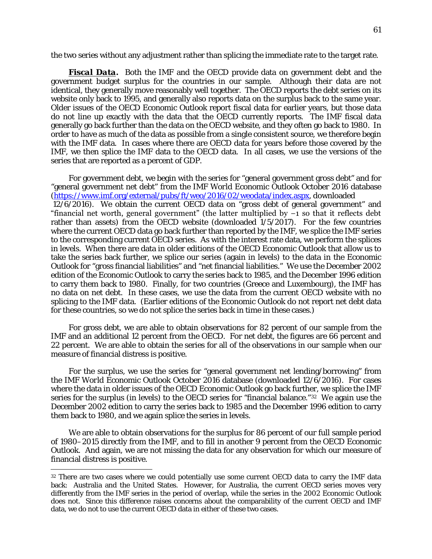the two series without any adjustment rather than splicing the immediate rate to the target rate.

*Fiscal Data***.** Both the IMF and the OECD provide data on government debt and the government budget surplus for the countries in our sample. Although their data are not identical, they generally move reasonably well together. The OECD reports the debt series on its website only back to 1995, and generally also reports data on the surplus back to the same year. Older issues of the *OECD Economic Outlook* report fiscal data for earlier years, but those data do not line up exactly with the data that the OECD currently reports. The IMF fiscal data generally go back further than the data on the OECD website, and they often go back to 1980. In order to have as much of the data as possible from a single consistent source, we therefore begin with the IMF data. In cases where there are OECD data for years before those covered by the IMF, we then splice the IMF data to the OECD data. In all cases, we use the versions of the series that are reported as a percent of GDP.

For government debt, we begin with the series for "general government gross debt" and for "general government net debt" from the *IMF World Economic Outlook* October 2016 database [\(https://www.imf.org/external/pubs/ft/weo/2016/02/weodata/index.aspx,](https://www.imf.org/external/pubs/ft/weo/2016/02/weodata/index.aspx) downloaded 12/6/2016). We obtain the current OECD data on "gross debt of general government" and "financial net worth, general government" (the latter multiplied by −1 so that it reflects debt rather than assets) from the OECD website (downloaded 1/5/2017). For the few countries where the current OECD data go back further than reported by the IMF, we splice the IMF series to the corresponding current OECD series. As with the interest rate data, we perform the splices in levels. When there are data in older editions of the *OECD Economic Outlook* that allow us to take the series back further, we splice our series (again in levels) to the data in the *Economic Outlook* for "gross financial liabilities" and "net financial liabilities." We use the December 2002 edition of the *Economic Outlook* to carry the series back to 1985, and the December 1996 edition to carry them back to 1980. Finally, for two countries (Greece and Luxembourg), the IMF has no data on net debt. In these cases, we use the data from the current OECD website with no splicing to the IMF data. (Earlier editions of the *Economic Outlook* do not report net debt data for these countries, so we do not splice the series back in time in these cases.)

For gross debt, we are able to obtain observations for 82 percent of our sample from the IMF and an additional 12 percent from the OECD. For net debt, the figures are 66 percent and 22 percent. We are able to obtain the series for all of the observations in our sample when our measure of financial distress is positive.

For the surplus, we use the series for "general government net lending/borrowing" from the *IMF World Economic Outlook* October 2016 database (downloaded 12/6/2016). For cases where the data in older issues of the *OECD Economic Outlook* go back further, we splice the IMF series for the surplus (in levels) to the OECD series for "financial balance."[32](#page-62-0) We again use the December 2002 edition to carry the series back to 1985 and the December 1996 edition to carry them back to 1980, and we again splice the series in levels.

We are able to obtain observations for the surplus for 86 percent of our full sample period of 1980–2015 directly from the IMF, and to fill in another 9 percent from the *OECD Economic Outlook*. And again, we are not missing the data for any observation for which our measure of financial distress is positive.

 $\overline{\phantom{a}}$ 

<span id="page-62-0"></span><sup>&</sup>lt;sup>32</sup> There are two cases where we could potentially use some current OECD data to carry the IMF data back: Australia and the United States. However, for Australia, the current OECD series moves very differently from the IMF series in the period of overlap, while the series in the 2002 *Economic Outlook* does not. Since this difference raises concerns about the comparability of the current OECD and IMF data, we do not to use the current OECD data in either of these two cases.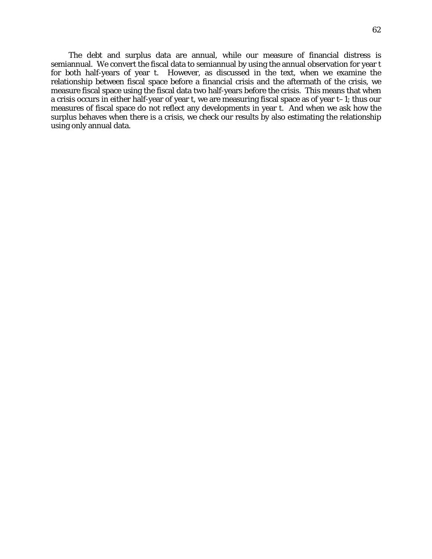The debt and surplus data are annual, while our measure of financial distress is semiannual. We convert the fiscal data to semiannual by using the annual observation for year *t* for both half-years of year *t*. However, as discussed in the text, when we examine the relationship between fiscal space before a financial crisis and the aftermath of the crisis, we measure fiscal space using the fiscal data two half-years before the crisis. This means that when a crisis occurs in either half-year of year *t*, we are measuring fiscal space as of year *t*–1; thus our measures of fiscal space do not reflect any developments in year *t*. And when we ask how the surplus behaves when there is a crisis, we check our results by also estimating the relationship using only annual data.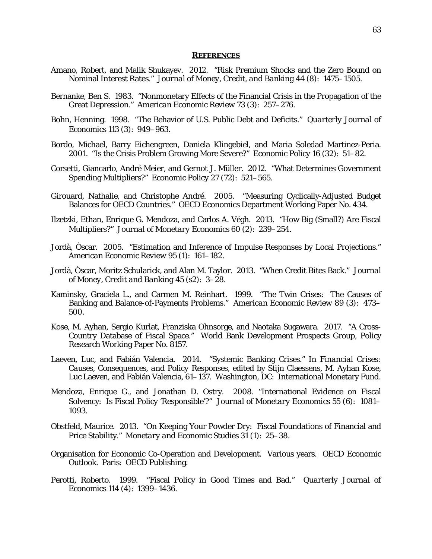#### **REFERENCES**

- Amano, Robert, and Malik Shukayev. 2012. "Risk Premium Shocks and the Zero Bound on Nominal Interest Rates." *Journal of Money, Credit, and Banking* 44 (8): 1475–1505.
- Bernanke, Ben S. 1983. "Nonmonetary Effects of the Financial Crisis in the Propagation of the Great Depression." *American Economic Review* 73 (3): 257–276.
- Bohn, Henning. 1998. "The Behavior of U.S. Public Debt and Deficits." *Quarterly Journal of Economics* 113 (3): 949–963.
- Bordo, Michael, Barry Eichengreen, Daniela Klingebiel, and Maria Soledad Martinez-Peria. 2001. "Is the Crisis Problem Growing More Severe?" *Economic Policy* 16 (32): 51–82.
- Corsetti, Giancarlo, André Meier, and Gernot J. Müller. 2012. "What Determines Government Spending Multipliers?" *Economic Policy* 27 (72): 521–565.
- Girouard, Nathalie, and Christophe André. 2005. "Measuring Cyclically-Adjusted Budget Balances for OECD Countries." OECD Economics Department Working Paper No. 434.
- Ilzetzki, Ethan, Enrique G. Mendoza, and Carlos A. Végh. 2013. "How Big (Small?) Are Fiscal Multipliers?" *Journal of Monetary Economics* 60 (2): 239–254.
- Jordà, Òscar. 2005. "Estimation and Inference of Impulse Responses by Local Projections." *American Economic Review* 95 (1): 161–182.
- Jordà, Òscar, Moritz Schularick, and Alan M. Taylor. 2013. "When Credit Bites Back." *Journal of Money, Credit and Banking* 45 (s2): 3–28.
- Kaminsky, Graciela L., and Carmen M. Reinhart. 1999. "The Twin Crises: The Causes of Banking and Balance-of-Payments Problems." *American Economic Review* 89 (3): 473– 500.
- Kose, M. Ayhan, Sergio Kurlat, Franziska Ohnsorge, and Naotaka Sugawara. 2017. "A Cross-Country Database of Fiscal Space." World Bank Development Prospects Group, Policy Research Working Paper No. 8157.
- Laeven, Luc, and Fabián Valencia. 2014. "Systemic Banking Crises." In *Financial Crises: Causes, Consequences, and Policy Responses*, edited by Stijn Claessens, M. Ayhan Kose, Luc Laeven, and Fabián Valencia, 61–137. Washington, DC: International Monetary Fund.
- Mendoza, Enrique G., and Jonathan D. Ostry. 2008. "International Evidence on Fiscal Solvency: Is Fiscal Policy 'Responsible'?" *Journal of Monetary Economics* 55 (6): 1081– 1093.
- Obstfeld, Maurice. 2013. "On Keeping Your Powder Dry: Fiscal Foundations of Financial and Price Stability." *Monetary and Economic Studies* 31 (1): 25–38.
- Organisation for Economic Co-Operation and Development. Various years. *OECD Economic Outlook*. Paris: OECD Publishing.
- Perotti, Roberto. 1999. "Fiscal Policy in Good Times and Bad." *Quarterly Journal of Economics* 114 (4): 1399–1436.